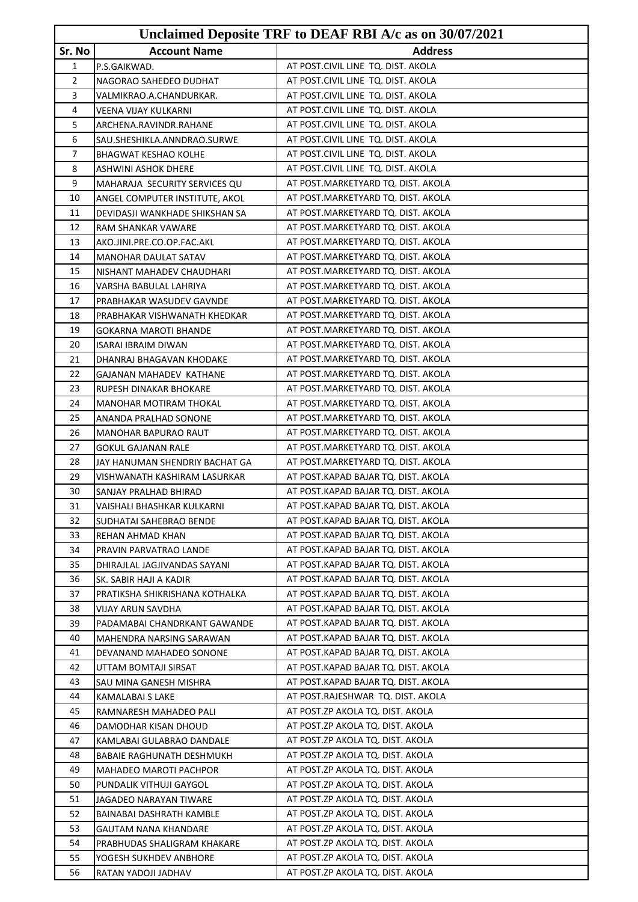|                |                                | Unclaimed Deposite TRF to DEAF RBI A/c as on 30/07/2021 |
|----------------|--------------------------------|---------------------------------------------------------|
| Sr. No         | <b>Account Name</b>            | <b>Address</b>                                          |
| $\mathbf{1}$   | P.S.GAIKWAD.                   | AT POST.CIVIL LINE TQ. DIST. AKOLA                      |
| $\overline{2}$ | NAGORAO SAHEDEO DUDHAT         | AT POST.CIVIL LINE TQ. DIST. AKOLA                      |
| 3              | VALMIKRAO.A.CHANDURKAR.        | AT POST.CIVIL LINE TQ. DIST. AKOLA                      |
| 4              | VEENA VIJAY KULKARNI           | AT POST.CIVIL LINE TQ. DIST. AKOLA                      |
| 5              | ARCHENA.RAVINDR.RAHANE         | AT POST.CIVIL LINE TQ. DIST. AKOLA                      |
| 6              | SAU.SHESHIKLA.ANNDRAO.SURWE    | AT POST.CIVIL LINE TQ. DIST. AKOLA                      |
| 7              | <b>BHAGWAT KESHAO KOLHE</b>    | AT POST.CIVIL LINE TQ. DIST. AKOLA                      |
| 8              | ASHWINI ASHOK DHERE            | AT POST.CIVIL LINE TQ. DIST. AKOLA                      |
| 9              | MAHARAJA SECURITY SERVICES QU  | AT POST.MARKETYARD TQ. DIST. AKOLA                      |
| 10             | ANGEL COMPUTER INSTITUTE, AKOL | AT POST.MARKETYARD TQ. DIST. AKOLA                      |
| 11             | DEVIDASJI WANKHADE SHIKSHAN SA | AT POST.MARKETYARD TQ. DIST. AKOLA                      |
| 12             | RAM SHANKAR VAWARE             | AT POST.MARKETYARD TQ. DIST. AKOLA                      |
| 13             | AKO.JINI.PRE.CO.OP.FAC.AKL     | AT POST.MARKETYARD TQ. DIST. AKOLA                      |
| 14             | <b>MANOHAR DAULAT SATAV</b>    | AT POST.MARKETYARD TQ. DIST. AKOLA                      |
| 15             | NISHANT MAHADEV CHAUDHARI      | AT POST.MARKETYARD TQ. DIST. AKOLA                      |
| 16             | VARSHA BABULAL LAHRIYA         | AT POST.MARKETYARD TQ. DIST. AKOLA                      |
| 17             | PRABHAKAR WASUDEV GAVNDE       | AT POST.MARKETYARD TQ. DIST. AKOLA                      |
| 18             | PRABHAKAR VISHWANATH KHEDKAR   | AT POST.MARKETYARD TO, DIST, AKOLA                      |
| 19             | GOKARNA MAROTI BHANDE          | AT POST.MARKETYARD TQ. DIST. AKOLA                      |
| 20             | ISARAI IBRAIM DIWAN            | AT POST.MARKETYARD TQ. DIST. AKOLA                      |
| 21             | DHANRAJ BHAGAVAN KHODAKE       | AT POST.MARKETYARD TQ. DIST. AKOLA                      |
| 22             | GAJANAN MAHADEV KATHANE        | AT POST.MARKETYARD TQ. DIST. AKOLA                      |
| 23             | RUPESH DINAKAR BHOKARE         | AT POST.MARKETYARD TQ. DIST. AKOLA                      |
| 24             | MANOHAR MOTIRAM THOKAL         | AT POST.MARKETYARD TQ. DIST. AKOLA                      |
| 25             | ANANDA PRALHAD SONONE          | AT POST.MARKETYARD TQ. DIST. AKOLA                      |
| 26             | MANOHAR BAPURAO RAUT           | AT POST.MARKETYARD TQ. DIST. AKOLA                      |
| 27             | <b>GOKUL GAJANAN RALE</b>      | AT POST.MARKETYARD TQ. DIST. AKOLA                      |
| 28             | JAY HANUMAN SHENDRIY BACHAT GA | AT POST.MARKETYARD TQ. DIST. AKOLA                      |
| 29             | VISHWANATH KASHIRAM LASURKAR   | AT POST.KAPAD BAJAR TQ. DIST. AKOLA                     |
| 30             | SANJAY PRALHAD BHIRAD          | AT POST.KAPAD BAJAR TQ. DIST. AKOLA                     |
| 31             | VAISHALI BHASHKAR KULKARNI     | AT POST.KAPAD BAJAR TQ. DIST. AKOLA                     |
| 32             | SUDHATAI SAHEBRAO BENDE        | AT POST.KAPAD BAJAR TQ. DIST. AKOLA                     |
| 33             | REHAN AHMAD KHAN               | AT POST.KAPAD BAJAR TO. DIST. AKOLA                     |
| 34             | PRAVIN PARVATRAO LANDE         | AT POST.KAPAD BAJAR TQ. DIST. AKOLA                     |
| 35             | DHIRAJLAL JAGJIVANDAS SAYANI   | AT POST.KAPAD BAJAR TQ. DIST. AKOLA                     |
| 36             | SK. SABIR HAJI A KADIR         | AT POST.KAPAD BAJAR TQ. DIST. AKOLA                     |
| 37             | PRATIKSHA SHIKRISHANA KOTHALKA | AT POST.KAPAD BAJAR TQ. DIST. AKOLA                     |
| 38             | VIJAY ARUN SAVDHA              | AT POST.KAPAD BAJAR TQ. DIST. AKOLA                     |
| 39             | PADAMABAI CHANDRKANT GAWANDE   | AT POST.KAPAD BAJAR TQ. DIST. AKOLA                     |
| 40             | MAHENDRA NARSING SARAWAN       | AT POST.KAPAD BAJAR TQ. DIST. AKOLA                     |
| 41             | DEVANAND MAHADEO SONONE        | AT POST.KAPAD BAJAR TQ. DIST. AKOLA                     |
| 42             | UTTAM BOMTAJI SIRSAT           | AT POST.KAPAD BAJAR TQ. DIST. AKOLA                     |
| 43             | SAU MINA GANESH MISHRA         | AT POST.KAPAD BAJAR TQ. DIST. AKOLA                     |
| 44             | KAMALABAI S LAKE               | AT POST.RAJESHWAR TQ. DIST. AKOLA                       |
| 45             | RAMNARESH MAHADEO PALI         | AT POST.ZP AKOLA TQ. DIST. AKOLA                        |
| 46             | DAMODHAR KISAN DHOUD           | AT POST.ZP AKOLA TQ. DIST. AKOLA                        |
| 47             | KAMLABAI GULABRAO DANDALE      | AT POST.ZP AKOLA TQ. DIST. AKOLA                        |
| 48             | BABAIE RAGHUNATH DESHMUKH      | AT POST.ZP AKOLA TQ. DIST. AKOLA                        |
| 49             | MAHADEO MAROTI PACHPOR         | AT POST.ZP AKOLA TQ. DIST. AKOLA                        |
| 50             | PUNDALIK VITHUJI GAYGOL        | AT POST.ZP AKOLA TQ. DIST. AKOLA                        |
| 51             | JAGADEO NARAYAN TIWARE         | AT POST.ZP AKOLA TQ. DIST. AKOLA                        |
| 52             | BAINABAI DASHRATH KAMBLE       | AT POST.ZP AKOLA TQ. DIST. AKOLA                        |
| 53             | <b>GAUTAM NANA KHANDARE</b>    | AT POST.ZP AKOLA TQ. DIST. AKOLA                        |
| 54             | PRABHUDAS SHALIGRAM KHAKARE    | AT POST.ZP AKOLA TQ. DIST. AKOLA                        |
| 55             | YOGESH SUKHDEV ANBHORE         | AT POST.ZP AKOLA TQ. DIST. AKOLA                        |
| 56             | RATAN YADOJI JADHAV            | AT POST.ZP AKOLA TQ. DIST. AKOLA                        |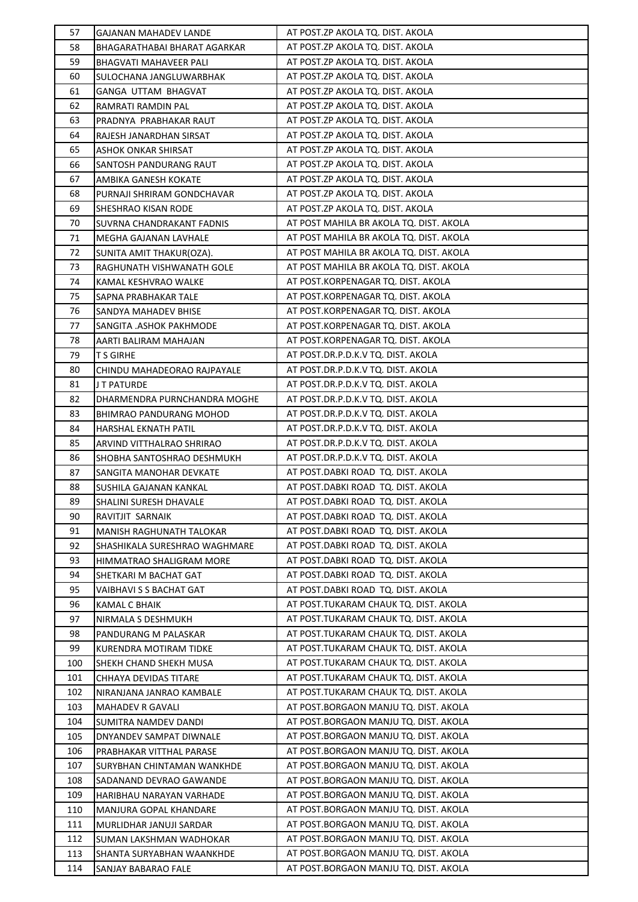| 57  | <b>GAJANAN MAHADEV LANDE</b>  | AT POST.ZP AKOLA TQ. DIST. AKOLA        |
|-----|-------------------------------|-----------------------------------------|
| 58  | BHAGARATHABAI BHARAT AGARKAR  | AT POST.ZP AKOLA TQ. DIST. AKOLA        |
| 59  | BHAGVATI MAHAVEER PALI        | AT POST.ZP AKOLA TQ. DIST. AKOLA        |
| 60  | SULOCHANA JANGLUWARBHAK       | AT POST.ZP AKOLA TQ. DIST. AKOLA        |
| 61  | GANGA UTTAM BHAGVAT           | AT POST.ZP AKOLA TQ. DIST. AKOLA        |
| 62  | RAMRATI RAMDIN PAL            | AT POST.ZP AKOLA TQ. DIST. AKOLA        |
| 63  | PRADNYA PRABHAKAR RAUT        | AT POST.ZP AKOLA TQ. DIST. AKOLA        |
| 64  | RAJESH JANARDHAN SIRSAT       | AT POST.ZP AKOLA TQ. DIST. AKOLA        |
| 65  | ASHOK ONKAR SHIRSAT           | AT POST.ZP AKOLA TQ. DIST. AKOLA        |
| 66  | SANTOSH PANDURANG RAUT        | AT POST.ZP AKOLA TQ. DIST. AKOLA        |
| 67  | AMBIKA GANESH KOKATE          | AT POST.ZP AKOLA TQ. DIST. AKOLA        |
| 68  | PURNAJI SHRIRAM GONDCHAVAR    | AT POST.ZP AKOLA TQ. DIST. AKOLA        |
| 69  | SHESHRAO KISAN RODE           | AT POST.ZP AKOLA TQ. DIST. AKOLA        |
| 70  | SUVRNA CHANDRAKANT FADNIS     | AT POST MAHILA BR AKOLA TQ. DIST. AKOLA |
| 71  | MEGHA GAJANAN LAVHALE         | AT POST MAHILA BR AKOLA TQ. DIST. AKOLA |
| 72  | SUNITA AMIT THAKUR(OZA).      | AT POST MAHILA BR AKOLA TQ. DIST. AKOLA |
| 73  | RAGHUNATH VISHWANATH GOLE     | AT POST MAHILA BR AKOLA TQ. DIST. AKOLA |
| 74  | KAMAL KESHVRAO WALKE          | AT POST.KORPENAGAR TQ. DIST. AKOLA      |
| 75  | SAPNA PRABHAKAR TALE          | AT POST.KORPENAGAR TQ. DIST. AKOLA      |
| 76  | SANDYA MAHADEV BHISE          | AT POST.KORPENAGAR TQ. DIST. AKOLA      |
| 77  | SANGITA .ASHOK PAKHMODE       | AT POST.KORPENAGAR TQ. DIST. AKOLA      |
| 78  | AARTI BALIRAM MAHAJAN         | AT POST.KORPENAGAR TQ. DIST. AKOLA      |
| 79  | <b>T S GIRHE</b>              | AT POST.DR.P.D.K.V TQ. DIST. AKOLA      |
| 80  | CHINDU MAHADEORAO RAJPAYALE   | AT POST.DR.P.D.K.V TQ. DIST. AKOLA      |
| 81  | J T PATURDE                   | AT POST.DR.P.D.K.V TQ. DIST. AKOLA      |
| 82  | DHARMENDRA PURNCHANDRA MOGHE  | AT POST.DR.P.D.K.V TQ. DIST. AKOLA      |
| 83  | BHIMRAO PANDURANG MOHOD       | AT POST.DR.P.D.K.V TQ. DIST. AKOLA      |
| 84  | HARSHAL EKNATH PATIL          | AT POST.DR.P.D.K.V TQ. DIST. AKOLA      |
| 85  | ARVIND VITTHALRAO SHRIRAO     | AT POST.DR.P.D.K.V TQ. DIST. AKOLA      |
| 86  | SHOBHA SANTOSHRAO DESHMUKH    | AT POST.DR.P.D.K.V TQ. DIST. AKOLA      |
| 87  | SANGITA MANOHAR DEVKATE       | AT POST.DABKI ROAD TQ. DIST. AKOLA      |
| 88  | SUSHILA GAJANAN KANKAL        | AT POST.DABKI ROAD TQ. DIST. AKOLA      |
| 89  | SHALINI SURESH DHAVALE        | AT POST.DABKI ROAD TQ. DIST. AKOLA      |
| 90  | RAVITJIT SARNAIK              | AT POST.DABKI ROAD TQ. DIST. AKOLA      |
| 91  | MANISH RAGHUNATH TALOKAR      | AT POST.DABKI ROAD TQ. DIST. AKOLA      |
| 92  | SHASHIKALA SURESHRAO WAGHMARE | AT POST.DABKI ROAD TQ. DIST. AKOLA      |
| 93  | HIMMATRAO SHALIGRAM MORE      | AT POST.DABKI ROAD TQ. DIST. AKOLA      |
| 94  | SHETKARI M BACHAT GAT         | AT POST.DABKI ROAD TO. DIST. AKOLA      |
| 95  | VAIBHAVI S S BACHAT GAT       | AT POST.DABKI ROAD TQ. DIST. AKOLA      |
| 96  | <b>KAMAL C BHAIK</b>          | AT POST.TUKARAM CHAUK TQ. DIST. AKOLA   |
| 97  | NIRMALA S DESHMUKH            | AT POST.TUKARAM CHAUK TQ. DIST. AKOLA   |
| 98  | PANDURANG M PALASKAR          | AT POST.TUKARAM CHAUK TQ. DIST. AKOLA   |
| 99  | KURENDRA MOTIRAM TIDKE        | AT POST.TUKARAM CHAUK TQ. DIST. AKOLA   |
| 100 | SHEKH CHAND SHEKH MUSA        | AT POST.TUKARAM CHAUK TQ. DIST. AKOLA   |
| 101 | CHHAYA DEVIDAS TITARE         | AT POST.TUKARAM CHAUK TQ. DIST. AKOLA   |
| 102 | NIRANJANA JANRAO KAMBALE      | AT POST.TUKARAM CHAUK TQ. DIST. AKOLA   |
| 103 | <b>MAHADEV R GAVALI</b>       | AT POST.BORGAON MANJU TQ. DIST. AKOLA   |
| 104 | SUMITRA NAMDEV DANDI          | AT POST.BORGAON MANJU TQ. DIST. AKOLA   |
| 105 | DNYANDEV SAMPAT DIWNALE       | AT POST.BORGAON MANJU TQ. DIST. AKOLA   |
| 106 | PRABHAKAR VITTHAL PARASE      | AT POST.BORGAON MANJU TQ. DIST. AKOLA   |
| 107 | SURYBHAN CHINTAMAN WANKHDE    | AT POST.BORGAON MANJU TQ. DIST. AKOLA   |
| 108 | SADANAND DEVRAO GAWANDE       | AT POST.BORGAON MANJU TQ. DIST. AKOLA   |
| 109 | HARIBHAU NARAYAN VARHADE      | AT POST.BORGAON MANJU TQ. DIST. AKOLA   |
| 110 | MANJURA GOPAL KHANDARE        | AT POST.BORGAON MANJU TQ. DIST. AKOLA   |
| 111 | MURLIDHAR JANUJI SARDAR       | AT POST.BORGAON MANJU TQ. DIST. AKOLA   |
| 112 | SUMAN LAKSHMAN WADHOKAR       | AT POST.BORGAON MANJU TQ. DIST. AKOLA   |
| 113 | SHANTA SURYABHAN WAANKHDE     | AT POST.BORGAON MANJU TQ. DIST. AKOLA   |
| 114 | SANJAY BABARAO FALE           | AT POST.BORGAON MANJU TQ. DIST. AKOLA   |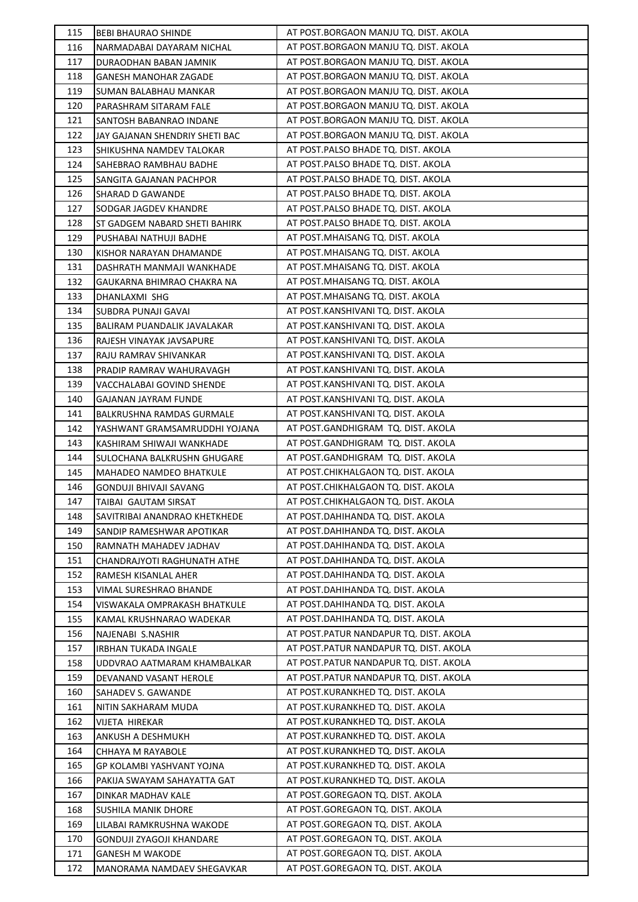| 115        | <b>BEBI BHAURAO SHINDE</b>                          | AT POST.BORGAON MANJU TQ. DIST. AKOLA                                    |
|------------|-----------------------------------------------------|--------------------------------------------------------------------------|
| 116        | NARMADABAI DAYARAM NICHAL                           | AT POST.BORGAON MANJU TQ. DIST. AKOLA                                    |
| 117        | DURAODHAN BABAN JAMNIK                              | AT POST.BORGAON MANJU TQ. DIST. AKOLA                                    |
| 118        | GANESH MANOHAR ZAGADE                               | AT POST.BORGAON MANJU TQ. DIST. AKOLA                                    |
| 119        | SUMAN BALABHAU MANKAR                               | AT POST.BORGAON MANJU TQ. DIST. AKOLA                                    |
| 120        | PARASHRAM SITARAM FALE                              | AT POST.BORGAON MANJU TQ. DIST. AKOLA                                    |
| 121        | SANTOSH BABANRAO INDANE                             | AT POST.BORGAON MANJU TQ. DIST. AKOLA                                    |
| 122        | JAY GAJANAN SHENDRIY SHETI BAC                      | AT POST.BORGAON MANJU TQ. DIST. AKOLA                                    |
| 123        | SHIKUSHNA NAMDEV TALOKAR                            | AT POST.PALSO BHADE TQ. DIST. AKOLA                                      |
| 124        | SAHEBRAO RAMBHAU BADHE                              | AT POST.PALSO BHADE TQ. DIST. AKOLA                                      |
| 125        | SANGITA GAJANAN PACHPOR                             | AT POST.PALSO BHADE TQ. DIST. AKOLA                                      |
| 126        | SHARAD D GAWANDE                                    | AT POST.PALSO BHADE TQ. DIST. AKOLA                                      |
| 127        | SODGAR JAGDEV KHANDRE                               | AT POST.PALSO BHADE TQ. DIST. AKOLA                                      |
| 128        | ST GADGEM NABARD SHETI BAHIRK                       | AT POST.PALSO BHADE TQ. DIST. AKOLA                                      |
| 129        | PUSHABAI NATHUJI BADHE                              | AT POST.MHAISANG TQ. DIST. AKOLA                                         |
| 130        | KISHOR NARAYAN DHAMANDE                             | AT POST. MHAISANG TQ. DIST. AKOLA                                        |
| 131        | DASHRATH MANMAJI WANKHADE                           | AT POST. MHAISANG TQ. DIST. AKOLA                                        |
| 132        | GAUKARNA BHIMRAO CHAKRA NA                          | AT POST. MHAISANG TQ. DIST. AKOLA                                        |
| 133        | DHANLAXMI SHG                                       | AT POST. MHAISANG TQ. DIST. AKOLA                                        |
| 134        | SUBDRA PUNAJI GAVAI                                 | AT POST.KANSHIVANI TQ. DIST. AKOLA                                       |
| 135        | BALIRAM PUANDALIK JAVALAKAR                         | AT POST.KANSHIVANI TQ. DIST. AKOLA                                       |
| 136        | RAJESH VINAYAK JAVSAPURE                            | AT POST.KANSHIVANI TQ. DIST. AKOLA                                       |
| 137        | RAJU RAMRAV SHIVANKAR                               | AT POST.KANSHIVANI TQ. DIST. AKOLA                                       |
| 138        | PRADIP RAMRAV WAHURAVAGH                            | AT POST.KANSHIVANI TQ. DIST. AKOLA                                       |
| 139        | VACCHALABAI GOVIND SHENDE                           | AT POST.KANSHIVANI TQ. DIST. AKOLA                                       |
| 140        | GAJANAN JAYRAM FUNDE                                | AT POST.KANSHIVANI TQ. DIST. AKOLA                                       |
| 141        | BALKRUSHNA RAMDAS GURMALE                           | AT POST.KANSHIVANI TQ. DIST. AKOLA                                       |
| 142        | YASHWANT GRAMSAMRUDDHI YOJANA                       | AT POST.GANDHIGRAM TQ. DIST. AKOLA                                       |
| 143        | KASHIRAM SHIWAJI WANKHADE                           | AT POST.GANDHIGRAM TQ. DIST. AKOLA                                       |
| 144        | SULOCHANA BALKRUSHN GHUGARE                         | AT POST.GANDHIGRAM TQ. DIST. AKOLA                                       |
| 145        | MAHADEO NAMDEO BHATKULE                             | AT POST.CHIKHALGAON TQ. DIST. AKOLA                                      |
| 146        | GONDUJI BHIVAJI SAVANG                              | AT POST.CHIKHALGAON TQ. DIST. AKOLA                                      |
| 147<br>148 | TAIBAI GAUTAM SIRSAT                                | AT POST.CHIKHALGAON TQ. DIST. AKOLA<br>AT POST.DAHIHANDA TQ. DIST. AKOLA |
| 149        | SAVITRIBAI ANANDRAO KHETKHEDE                       | AT POST.DAHIHANDA TQ. DIST. AKOLA                                        |
| 150        | SANDIP RAMESHWAR APOTIKAR<br>RAMNATH MAHADEV JADHAV | AT POST.DAHIHANDA TQ. DIST. AKOLA                                        |
| 151        | CHANDRAJYOTI RAGHUNATH ATHE                         | AT POST.DAHIHANDA TQ. DIST. AKOLA                                        |
| 152        | RAMESH KISANLAL AHER                                | AT POST.DAHIHANDA TQ. DIST. AKOLA                                        |
| 153        | VIMAL SURESHRAO BHANDE                              | AT POST.DAHIHANDA TQ. DIST. AKOLA                                        |
| 154        | VISWAKALA OMPRAKASH BHATKULE                        | AT POST.DAHIHANDA TQ. DIST. AKOLA                                        |
| 155        | KAMAL KRUSHNARAO WADEKAR                            | AT POST.DAHIHANDA TQ. DIST. AKOLA                                        |
| 156        | NAJENABI S.NASHIR                                   | AT POST.PATUR NANDAPUR TQ. DIST. AKOLA                                   |
| 157        | <b>IRBHAN TUKADA INGALE</b>                         | AT POST.PATUR NANDAPUR TQ. DIST. AKOLA                                   |
| 158        | UDDVRAO AATMARAM KHAMBALKAR                         | AT POST.PATUR NANDAPUR TQ. DIST. AKOLA                                   |
| 159        | DEVANAND VASANT HEROLE                              | AT POST.PATUR NANDAPUR TQ. DIST. AKOLA                                   |
| 160        | SAHADEV S. GAWANDE                                  | AT POST.KURANKHED TQ. DIST. AKOLA                                        |
| 161        | NITIN SAKHARAM MUDA                                 | AT POST.KURANKHED TQ. DIST. AKOLA                                        |
| 162        | VIJETA HIREKAR                                      | AT POST.KURANKHED TQ. DIST. AKOLA                                        |
| 163        | ANKUSH A DESHMUKH                                   | AT POST.KURANKHED TQ. DIST. AKOLA                                        |
| 164        | CHHAYA M RAYABOLE                                   | AT POST.KURANKHED TQ. DIST. AKOLA                                        |
| 165        | GP KOLAMBI YASHVANT YOJNA                           | AT POST.KURANKHED TQ. DIST. AKOLA                                        |
| 166        | PAKIJA SWAYAM SAHAYATTA GAT                         | AT POST.KURANKHED TQ. DIST. AKOLA                                        |
| 167        | DINKAR MADHAV KALE                                  | AT POST.GOREGAON TQ. DIST. AKOLA                                         |
| 168        | SUSHILA MANIK DHORE                                 | AT POST.GOREGAON TQ. DIST. AKOLA                                         |
| 169        | LILABAI RAMKRUSHNA WAKODE                           | AT POST.GOREGAON TQ. DIST. AKOLA                                         |
| 170        | <b>GONDUJI ZYAGOJI KHANDARE</b>                     | AT POST.GOREGAON TQ. DIST. AKOLA                                         |
| 171        | <b>GANESH M WAKODE</b>                              | AT POST.GOREGAON TQ. DIST. AKOLA                                         |
| 172        | MANORAMA NAMDAEV SHEGAVKAR                          | AT POST.GOREGAON TQ. DIST. AKOLA                                         |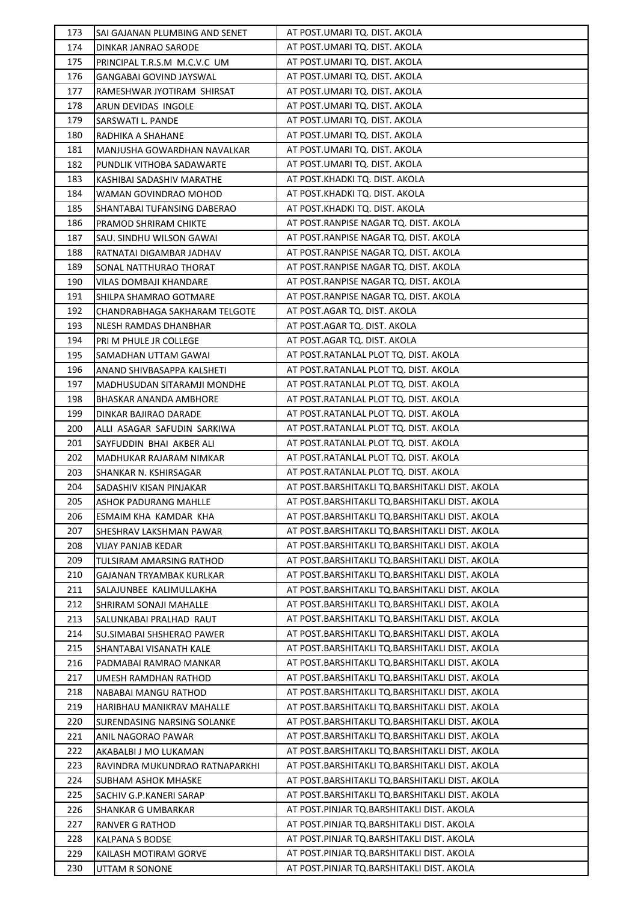| 173        | SAI GAJANAN PLUMBING AND SENET     | AT POST.UMARI TQ. DIST. AKOLA                                                                    |
|------------|------------------------------------|--------------------------------------------------------------------------------------------------|
| 174        | DINKAR JANRAO SARODE               | AT POST.UMARI TQ. DIST. AKOLA                                                                    |
| 175        | PRINCIPAL T.R.S.M M.C.V.C UM       | AT POST.UMARI TQ. DIST. AKOLA                                                                    |
| 176        | GANGABAI GOVIND JAYSWAL            | AT POST.UMARI TQ. DIST. AKOLA                                                                    |
| 177        | RAMESHWAR JYOTIRAM SHIRSAT         | AT POST.UMARI TQ. DIST. AKOLA                                                                    |
| 178        | ARUN DEVIDAS INGOLE                | AT POST.UMARI TQ. DIST. AKOLA                                                                    |
| 179        | SARSWATI L. PANDE                  | AT POST.UMARI TQ. DIST. AKOLA                                                                    |
| 180        | RADHIKA A SHAHANE                  | AT POST.UMARI TQ. DIST. AKOLA                                                                    |
| 181        | MANJUSHA GOWARDHAN NAVALKAR        | AT POST.UMARI TQ. DIST. AKOLA                                                                    |
| 182        | PUNDLIK VITHOBA SADAWARTE          | AT POST.UMARI TQ. DIST. AKOLA                                                                    |
| 183        | KASHIBAI SADASHIV MARATHE          | AT POST.KHADKI TQ. DIST. AKOLA                                                                   |
| 184        | WAMAN GOVINDRAO MOHOD              | AT POST.KHADKI TQ. DIST. AKOLA                                                                   |
| 185        | SHANTABAI TUFANSING DABERAO        | AT POST.KHADKI TQ. DIST. AKOLA                                                                   |
| 186        | PRAMOD SHRIRAM CHIKTE              | AT POST.RANPISE NAGAR TQ. DIST. AKOLA                                                            |
| 187        | SAU. SINDHU WILSON GAWAI           | AT POST.RANPISE NAGAR TQ. DIST. AKOLA                                                            |
| 188        | RATNATAI DIGAMBAR JADHAV           | AT POST.RANPISE NAGAR TQ. DIST. AKOLA                                                            |
| 189        | SONAL NATTHURAO THORAT             | AT POST.RANPISE NAGAR TQ. DIST. AKOLA                                                            |
| 190        | VILAS DOMBAJI KHANDARE             | AT POST.RANPISE NAGAR TQ. DIST. AKOLA                                                            |
| 191        | SHILPA SHAMRAO GOTMARE             | AT POST.RANPISE NAGAR TQ. DIST. AKOLA                                                            |
| 192        | CHANDRABHAGA SAKHARAM TELGOTE      | AT POST.AGAR TQ. DIST. AKOLA                                                                     |
| 193        | NLESH RAMDAS DHANBHAR              | AT POST.AGAR TQ. DIST. AKOLA                                                                     |
| 194        | PRI M PHULE JR COLLEGE             | AT POST.AGAR TQ. DIST. AKOLA                                                                     |
| 195        | SAMADHAN UTTAM GAWAI               | AT POST.RATANLAL PLOT TQ. DIST. AKOLA                                                            |
| 196        | ANAND SHIVBASAPPA KALSHETI         | AT POST.RATANLAL PLOT TQ. DIST. AKOLA                                                            |
| 197        | MADHUSUDAN SITARAMJI MONDHE        | AT POST.RATANLAL PLOT TQ. DIST. AKOLA                                                            |
| 198        | BHASKAR ANANDA AMBHORE             | AT POST.RATANLAL PLOT TQ. DIST. AKOLA                                                            |
| 199        | DINKAR BAJIRAO DARADE              | AT POST.RATANLAL PLOT TQ. DIST. AKOLA                                                            |
| 200        | ALLI ASAGAR SAFUDIN SARKIWA        | AT POST.RATANLAL PLOT TQ. DIST. AKOLA                                                            |
| 201        | SAYFUDDIN BHAI AKBER ALI           | AT POST.RATANLAL PLOT TQ. DIST. AKOLA                                                            |
| 202        | MADHUKAR RAJARAM NIMKAR            | AT POST.RATANLAL PLOT TQ. DIST. AKOLA                                                            |
| 203        | SHANKAR N. KSHIRSAGAR              | AT POST.RATANLAL PLOT TQ. DIST. AKOLA                                                            |
| 204        | SADASHIV KISAN PINJAKAR            | AT POST.BARSHITAKLI TQ.BARSHITAKLI DIST. AKOLA                                                   |
| 205        | ASHOK PADURANG MAHLLE              | AT POST.BARSHITAKLI TQ.BARSHITAKLI DIST. AKOLA                                                   |
| 206        | ESMAIM KHA KAMDAR KHA              | AT POST.BARSHITAKLI TQ.BARSHITAKLI DIST. AKOLA                                                   |
| 207        | SHESHRAV LAKSHMAN PAWAR            | AT POST.BARSHITAKLI TQ.BARSHITAKLI DIST. AKOLA                                                   |
| 208        | VIJAY PANJAB KEDAR                 | AT POST.BARSHITAKLI TQ.BARSHITAKLI DIST. AKOLA                                                   |
| 209        | TULSIRAM AMARSING RATHOD           | AT POST.BARSHITAKLI TQ.BARSHITAKLI DIST. AKOLA                                                   |
| 210        | GAJANAN TRYAMBAK KURLKAR           | AT POST.BARSHITAKLI TQ.BARSHITAKLI DIST. AKOLA                                                   |
| 211        | SALAJUNBEE KALIMULLAKHA            | AT POST.BARSHITAKLI TQ.BARSHITAKLI DIST. AKOLA                                                   |
| 212        | SHRIRAM SONAJI MAHALLE             | AT POST.BARSHITAKLI TQ.BARSHITAKLI DIST. AKOLA                                                   |
| 213        | SALUNKABAI PRALHAD RAUT            | AT POST.BARSHITAKLI TQ.BARSHITAKLI DIST. AKOLA                                                   |
| 214        | SU.SIMABAI SHSHERAO PAWER          | AT POST.BARSHITAKLI TQ.BARSHITAKLI DIST. AKOLA                                                   |
| 215        | SHANTABAI VISANATH KALE            | AT POST.BARSHITAKLI TQ.BARSHITAKLI DIST. AKOLA                                                   |
| 216        | PADMABAI RAMRAO MANKAR             | AT POST.BARSHITAKLI TQ.BARSHITAKLI DIST. AKOLA                                                   |
| 217        | UMESH RAMDHAN RATHOD               | AT POST.BARSHITAKLI TQ.BARSHITAKLI DIST. AKOLA                                                   |
| 218        | NABABAI MANGU RATHOD               | AT POST.BARSHITAKLI TQ.BARSHITAKLI DIST. AKOLA                                                   |
| 219        | HARIBHAU MANIKRAV MAHALLE          | AT POST.BARSHITAKLI TQ.BARSHITAKLI DIST. AKOLA                                                   |
| 220        | SURENDASING NARSING SOLANKE        | AT POST.BARSHITAKLI TQ.BARSHITAKLI DIST. AKOLA                                                   |
| 221        | ANIL NAGORAO PAWAR                 | AT POST.BARSHITAKLI TQ.BARSHITAKLI DIST. AKOLA                                                   |
| 222        | AKABALBI J MO LUKAMAN              | AT POST.BARSHITAKLI TQ.BARSHITAKLI DIST. AKOLA                                                   |
| 223        | RAVINDRA MUKUNDRAO RATNAPARKHI     | AT POST.BARSHITAKLI TQ.BARSHITAKLI DIST. AKOLA<br>AT POST.BARSHITAKLI TQ.BARSHITAKLI DIST. AKOLA |
| 224<br>225 | SUBHAM ASHOK MHASKE                | AT POST.BARSHITAKLI TQ.BARSHITAKLI DIST. AKOLA                                                   |
| 226        | SACHIV G.P.KANERI SARAP            | AT POST.PINJAR TQ.BARSHITAKLI DIST. AKOLA                                                        |
| 227        | SHANKAR G UMBARKAR                 | AT POST.PINJAR TQ.BARSHITAKLI DIST. AKOLA                                                        |
| 228        | RANVER G RATHOD<br>KALPANA S BODSE | AT POST.PINJAR TQ.BARSHITAKLI DIST. AKOLA                                                        |
| 229        | KAILASH MOTIRAM GORVE              | AT POST.PINJAR TQ.BARSHITAKLI DIST. AKOLA                                                        |
| 230        | UTTAM R SONONE                     | AT POST.PINJAR TQ.BARSHITAKLI DIST. AKOLA                                                        |
|            |                                    |                                                                                                  |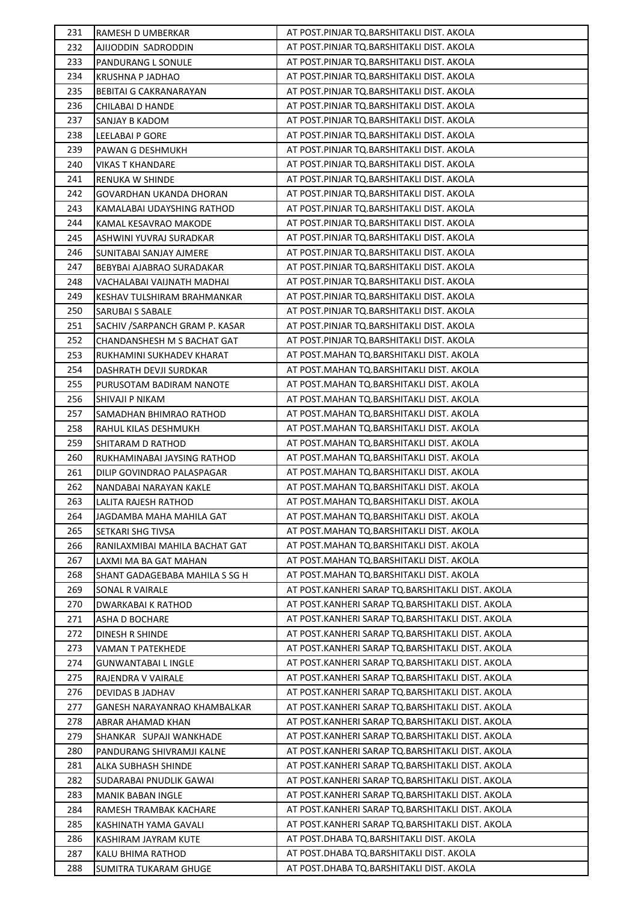| 231 | RAMESH D UMBERKAR              | AT POST.PINJAR TQ.BARSHITAKLI DIST. AKOLA        |
|-----|--------------------------------|--------------------------------------------------|
| 232 | AJIJODDIN SADRODDIN            | AT POST.PINJAR TQ.BARSHITAKLI DIST. AKOLA        |
| 233 | PANDURANG L SONULE             | AT POST.PINJAR TQ.BARSHITAKLI DIST. AKOLA        |
| 234 | KRUSHNA P JADHAO               | AT POST.PINJAR TQ.BARSHITAKLI DIST. AKOLA        |
| 235 | BEBITAI G CAKRANARAYAN         | AT POST.PINJAR TQ.BARSHITAKLI DIST. AKOLA        |
| 236 | CHILABAI D HANDE               | AT POST.PINJAR TQ.BARSHITAKLI DIST. AKOLA        |
| 237 | SANJAY B KADOM                 | AT POST.PINJAR TQ.BARSHITAKLI DIST. AKOLA        |
| 238 | LEELABAI P GORE                | AT POST.PINJAR TQ.BARSHITAKLI DIST. AKOLA        |
| 239 | PAWAN G DESHMUKH               | AT POST.PINJAR TQ.BARSHITAKLI DIST. AKOLA        |
| 240 | VIKAS T KHANDARE               | AT POST.PINJAR TQ.BARSHITAKLI DIST. AKOLA        |
| 241 | RENUKA W SHINDE                | AT POST.PINJAR TQ.BARSHITAKLI DIST. AKOLA        |
| 242 | GOVARDHAN UKANDA DHORAN        | AT POST.PINJAR TQ.BARSHITAKLI DIST. AKOLA        |
| 243 | KAMALABAI UDAYSHING RATHOD     | AT POST.PINJAR TQ.BARSHITAKLI DIST. AKOLA        |
| 244 | KAMAL KESAVRAO MAKODE          | AT POST.PINJAR TQ.BARSHITAKLI DIST. AKOLA        |
| 245 | ASHWINI YUVRAJ SURADKAR        | AT POST.PINJAR TQ.BARSHITAKLI DIST. AKOLA        |
| 246 | SUNITABAI SANJAY AJMERE        | AT POST.PINJAR TQ.BARSHITAKLI DIST. AKOLA        |
| 247 | BEBYBAI AJABRAO SURADAKAR      | AT POST.PINJAR TQ.BARSHITAKLI DIST. AKOLA        |
| 248 | VACHALABAI VAIJNATH MADHAI     | AT POST.PINJAR TQ.BARSHITAKLI DIST. AKOLA        |
| 249 | KESHAV TULSHIRAM BRAHMANKAR    | AT POST.PINJAR TQ.BARSHITAKLI DIST. AKOLA        |
| 250 | <b>SARUBAI S SABALE</b>        | AT POST.PINJAR TQ.BARSHITAKLI DIST. AKOLA        |
| 251 | SACHIV /SARPANCH GRAM P. KASAR | AT POST.PINJAR TQ.BARSHITAKLI DIST. AKOLA        |
| 252 | CHANDANSHESH M S BACHAT GAT    | AT POST.PINJAR TQ.BARSHITAKLI DIST. AKOLA        |
| 253 | RUKHAMINI SUKHADEV KHARAT      | AT POST.MAHAN TQ.BARSHITAKLI DIST. AKOLA         |
| 254 | DASHRATH DEVJI SURDKAR         | AT POST.MAHAN TQ.BARSHITAKLI DIST. AKOLA         |
| 255 | PURUSOTAM BADIRAM NANOTE       | AT POST.MAHAN TQ.BARSHITAKLI DIST. AKOLA         |
| 256 | SHIVAJI P NIKAM                | AT POST.MAHAN TQ.BARSHITAKLI DIST. AKOLA         |
| 257 | SAMADHAN BHIMRAO RATHOD        | AT POST.MAHAN TQ.BARSHITAKLI DIST. AKOLA         |
| 258 | RAHUL KILAS DESHMUKH           | AT POST.MAHAN TQ.BARSHITAKLI DIST. AKOLA         |
| 259 | SHITARAM D RATHOD              | AT POST.MAHAN TQ.BARSHITAKLI DIST. AKOLA         |
| 260 | RUKHAMINABAI JAYSING RATHOD    | AT POST.MAHAN TQ.BARSHITAKLI DIST. AKOLA         |
| 261 | DILIP GOVINDRAO PALASPAGAR     | AT POST.MAHAN TQ.BARSHITAKLI DIST. AKOLA         |
| 262 | NANDABAI NARAYAN KAKLE         | AT POST.MAHAN TQ.BARSHITAKLI DIST. AKOLA         |
| 263 | LALITA RAJESH RATHOD           | AT POST.MAHAN TQ.BARSHITAKLI DIST. AKOLA         |
| 264 | JAGDAMBA MAHA MAHILA GAT       | AT POST.MAHAN TQ.BARSHITAKLI DIST. AKOLA         |
| 265 | SETKARI SHG TIVSA              | AT POST.MAHAN TQ.BARSHITAKLI DIST. AKOLA         |
| 266 | RANILAXMIBAI MAHILA BACHAT GAT | AT POST.MAHAN TQ.BARSHITAKLI DIST. AKOLA         |
| 267 | LAXMI MA BA GAT MAHAN          | AT POST.MAHAN TQ.BARSHITAKLI DIST. AKOLA         |
| 268 | SHANT GADAGEBABA MAHILA S SG H | AT POST.MAHAN TQ.BARSHITAKLI DIST. AKOLA         |
| 269 | <b>SONAL R VAIRALE</b>         | AT POST.KANHERI SARAP TQ.BARSHITAKLI DIST. AKOLA |
| 270 | DWARKABAI K RATHOD             | AT POST.KANHERI SARAP TQ.BARSHITAKLI DIST. AKOLA |
| 271 | <b>ASHA D BOCHARE</b>          | AT POST.KANHERI SARAP TQ.BARSHITAKLI DIST. AKOLA |
| 272 | DINESH R SHINDE                | AT POST.KANHERI SARAP TQ.BARSHITAKLI DIST. AKOLA |
| 273 | VAMAN T PATEKHEDE              | AT POST.KANHERI SARAP TQ.BARSHITAKLI DIST. AKOLA |
| 274 | <b>GUNWANTABAI L INGLE</b>     | AT POST.KANHERI SARAP TQ.BARSHITAKLI DIST. AKOLA |
| 275 | RAJENDRA V VAIRALE             | AT POST.KANHERI SARAP TQ.BARSHITAKLI DIST. AKOLA |
| 276 | DEVIDAS B JADHAV               | AT POST.KANHERI SARAP TQ.BARSHITAKLI DIST. AKOLA |
| 277 | GANESH NARAYANRAO KHAMBALKAR   | AT POST.KANHERI SARAP TQ.BARSHITAKLI DIST. AKOLA |
| 278 | <b>ABRAR AHAMAD KHAN</b>       | AT POST.KANHERI SARAP TQ.BARSHITAKLI DIST. AKOLA |
| 279 | SHANKAR SUPAJI WANKHADE        | AT POST.KANHERI SARAP TQ.BARSHITAKLI DIST. AKOLA |
| 280 | PANDURANG SHIVRAMJI KALNE      | AT POST.KANHERI SARAP TQ.BARSHITAKLI DIST. AKOLA |
| 281 | ALKA SUBHASH SHINDE            | AT POST.KANHERI SARAP TQ.BARSHITAKLI DIST. AKOLA |
| 282 | SUDARABAI PNUDLIK GAWAI        | AT POST.KANHERI SARAP TQ.BARSHITAKLI DIST. AKOLA |
| 283 | <b>MANIK BABAN INGLE</b>       | AT POST.KANHERI SARAP TQ.BARSHITAKLI DIST. AKOLA |
| 284 | RAMESH TRAMBAK KACHARE         | AT POST.KANHERI SARAP TQ.BARSHITAKLI DIST. AKOLA |
| 285 | KASHINATH YAMA GAVALI          | AT POST.KANHERI SARAP TQ.BARSHITAKLI DIST. AKOLA |
| 286 | KASHIRAM JAYRAM KUTE           | AT POST.DHABA TQ.BARSHITAKLI DIST. AKOLA         |
| 287 | KALU BHIMA RATHOD              | AT POST.DHABA TQ.BARSHITAKLI DIST. AKOLA         |
| 288 | <b>SUMITRA TUKARAM GHUGE</b>   | AT POST.DHABA TQ.BARSHITAKLI DIST. AKOLA         |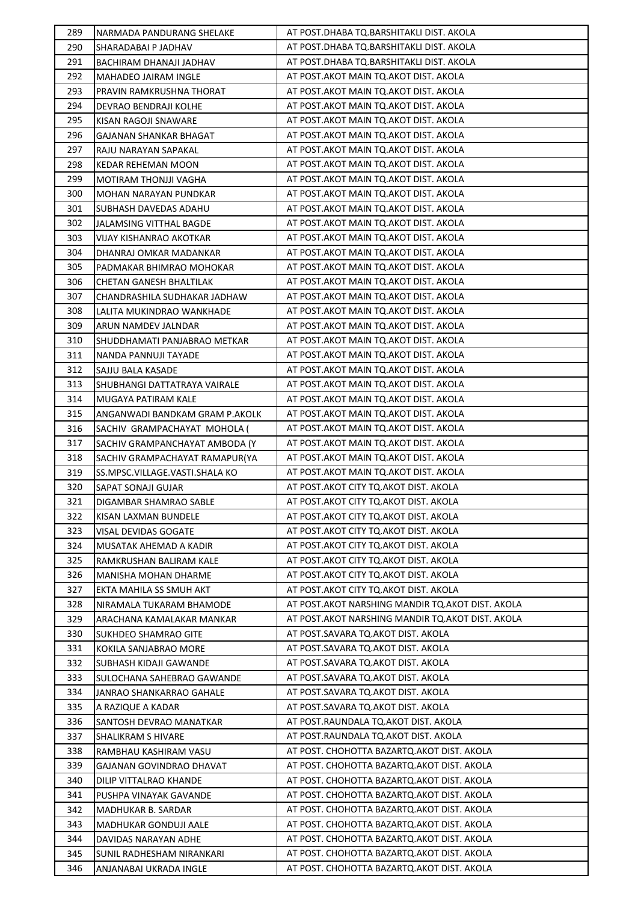| 289        | NARMADA PANDURANG SHELAKE                         | AT POST.DHABA TQ.BARSHITAKLI DIST. AKOLA                                                  |
|------------|---------------------------------------------------|-------------------------------------------------------------------------------------------|
| 290        | SHARADABAI P JADHAV                               | AT POST.DHABA TQ.BARSHITAKLI DIST. AKOLA                                                  |
| 291        | BACHIRAM DHANAJI JADHAV                           | AT POST.DHABA TQ.BARSHITAKLI DIST. AKOLA                                                  |
| 292        | MAHADEO JAIRAM INGLE                              | AT POST. AKOT MAIN TO. AKOT DIST. AKOLA                                                   |
| 293        | PRAVIN RAMKRUSHNA THORAT                          | AT POST. AKOT MAIN TQ. AKOT DIST. AKOLA                                                   |
| 294        | DEVRAO BENDRAJI KOLHE                             | AT POST. AKOT MAIN TO. AKOT DIST. AKOLA                                                   |
| 295        | KISAN RAGOJI SNAWARE                              | AT POST. AKOT MAIN TQ. AKOT DIST. AKOLA                                                   |
| 296        | GAJANAN SHANKAR BHAGAT                            | AT POST. AKOT MAIN TQ. AKOT DIST. AKOLA                                                   |
| 297        | RAJU NARAYAN SAPAKAL                              | AT POST. AKOT MAIN TQ. AKOT DIST. AKOLA                                                   |
| 298        | KEDAR REHEMAN MOON                                | AT POST. AKOT MAIN TO. AKOT DIST. AKOLA                                                   |
| 299        | MOTIRAM THONJJI VAGHA                             | AT POST. AKOT MAIN TO. AKOT DIST. AKOLA                                                   |
| 300        | MOHAN NARAYAN PUNDKAR                             | AT POST. AKOT MAIN TQ. AKOT DIST. AKOLA                                                   |
| 301        | SUBHASH DAVEDAS ADAHU                             | AT POST. AKOT MAIN TO. AKOT DIST. AKOLA                                                   |
| 302        | JALAMSING VITTHAL BAGDE                           | AT POST.AKOT MAIN TQ.AKOT DIST. AKOLA                                                     |
| 303        | VIJAY KISHANRAO AKOTKAR                           | AT POST.AKOT MAIN TQ.AKOT DIST. AKOLA                                                     |
| 304        | DHANRAJ OMKAR MADANKAR                            | AT POST. AKOT MAIN TO. AKOT DIST. AKOLA                                                   |
| 305        | PADMAKAR BHIMRAO MOHOKAR                          | AT POST.AKOT MAIN TO.AKOT DIST. AKOLA                                                     |
| 306        | CHETAN GANESH BHALTILAK                           | AT POST. AKOT MAIN TO. AKOT DIST. AKOLA                                                   |
| 307        | CHANDRASHILA SUDHAKAR JADHAW                      | AT POST. AKOT MAIN TQ. AKOT DIST. AKOLA                                                   |
| 308        | LALITA MUKINDRAO WANKHADE                         | AT POST. AKOT MAIN TO. AKOT DIST. AKOLA                                                   |
| 309        | ARUN NAMDEV JALNDAR                               | AT POST. AKOT MAIN TO. AKOT DIST. AKOLA                                                   |
| 310        | SHUDDHAMATI PANJABRAO METKAR                      | AT POST. AKOT MAIN TQ. AKOT DIST. AKOLA                                                   |
| 311        | NANDA PANNUJI TAYADE                              | AT POST. AKOT MAIN TQ. AKOT DIST. AKOLA                                                   |
| 312        | SAJJU BALA KASADE                                 | AT POST. AKOT MAIN TO. AKOT DIST. AKOLA                                                   |
| 313        | SHUBHANGI DATTATRAYA VAIRALE                      | AT POST. AKOT MAIN TQ. AKOT DIST. AKOLA                                                   |
| 314        | MUGAYA PATIRAM KALE                               | AT POST. AKOT MAIN TO. AKOT DIST. AKOLA                                                   |
| 315        | ANGANWADI BANDKAM GRAM P.AKOLK                    | AT POST.AKOT MAIN TQ.AKOT DIST. AKOLA                                                     |
| 316        | SACHIV GRAMPACHAYAT MOHOLA (                      | AT POST. AKOT MAIN TO. AKOT DIST. AKOLA                                                   |
| 317        | SACHIV GRAMPANCHAYAT AMBODA (Y                    | AT POST. AKOT MAIN TO. AKOT DIST. AKOLA                                                   |
| 318        | SACHIV GRAMPACHAYAT RAMAPUR(YA                    | AT POST. AKOT MAIN TO. AKOT DIST. AKOLA                                                   |
| 319        | SS.MPSC.VILLAGE.VASTI.SHALA KO                    | AT POST. AKOT MAIN TO. AKOT DIST. AKOLA                                                   |
| 320        | SAPAT SONAJI GUJAR                                | AT POST. AKOT CITY TO. AKOT DIST. AKOLA                                                   |
| 321        | DIGAMBAR SHAMRAO SABLE                            | AT POST.AKOT CITY TQ.AKOT DIST. AKOLA                                                     |
| 322        | KISAN LAXMAN BUNDELE                              | AT POST.AKOT CITY TQ.AKOT DIST. AKOLA                                                     |
| 323        | VISAL DEVIDAS GOGATE                              | AT POST.AKOT CITY TQ.AKOT DIST. AKOLA                                                     |
| 324        | MUSATAK AHEMAD A KADIR                            | AT POST. AKOT CITY TO. AKOT DIST. AKOLA                                                   |
| 325        | RAMKRUSHAN BALIRAM KALE                           | AT POST.AKOT CITY TQ.AKOT DIST. AKOLA                                                     |
| 326        | MANISHA MOHAN DHARME                              | AT POST. AKOT CITY TO. AKOT DIST. AKOLA                                                   |
| 327        | EKTA MAHILA SS SMUH AKT                           | AT POST.AKOT CITY TQ.AKOT DIST. AKOLA<br>AT POST.AKOT NARSHING MANDIR TO.AKOT DIST. AKOLA |
| 328        | NIRAMALA TUKARAM BHAMODE                          |                                                                                           |
| 329<br>330 | ARACHANA KAMALAKAR MANKAR<br>SUKHDEO SHAMRAO GITE | AT POST.AKOT NARSHING MANDIR TQ.AKOT DIST. AKOLA<br>AT POST.SAVARA TQ.AKOT DIST. AKOLA    |
| 331        | KOKILA SANJABRAO MORE                             | AT POST.SAVARA TQ.AKOT DIST. AKOLA                                                        |
| 332        | SUBHASH KIDAJI GAWANDE                            | AT POST.SAVARA TQ.AKOT DIST. AKOLA                                                        |
| 333        | SULOCHANA SAHEBRAO GAWANDE                        | AT POST.SAVARA TQ.AKOT DIST. AKOLA                                                        |
| 334        | JANRAO SHANKARRAO GAHALE                          | AT POST.SAVARA TQ.AKOT DIST. AKOLA                                                        |
| 335        | A RAZIQUE A KADAR                                 | AT POST.SAVARA TQ.AKOT DIST. AKOLA                                                        |
| 336        | SANTOSH DEVRAO MANATKAR                           | AT POST.RAUNDALA TQ.AKOT DIST. AKOLA                                                      |
| 337        | SHALIKRAM S HIVARE                                | AT POST.RAUNDALA TQ.AKOT DIST. AKOLA                                                      |
| 338        | RAMBHAU KASHIRAM VASU                             | AT POST. CHOHOTTA BAZARTQ. AKOT DIST. AKOLA                                               |
| 339        | GAJANAN GOVINDRAO DHAVAT                          | AT POST. CHOHOTTA BAZARTQ.AKOT DIST. AKOLA                                                |
| 340        | DILIP VITTALRAO KHANDE                            | AT POST. CHOHOTTA BAZARTQ.AKOT DIST. AKOLA                                                |
| 341        | PUSHPA VINAYAK GAVANDE                            | AT POST. CHOHOTTA BAZARTQ.AKOT DIST. AKOLA                                                |
| 342        | MADHUKAR B. SARDAR                                | AT POST. CHOHOTTA BAZARTQ.AKOT DIST. AKOLA                                                |
| 343        | MADHUKAR GONDUJI AALE                             | AT POST. CHOHOTTA BAZARTQ.AKOT DIST. AKOLA                                                |
| 344        | DAVIDAS NARAYAN ADHE                              | AT POST. CHOHOTTA BAZARTQ. AKOT DIST. AKOLA                                               |
| 345        | SUNIL RADHESHAM NIRANKARI                         | AT POST. CHOHOTTA BAZARTQ.AKOT DIST. AKOLA                                                |
| 346        | ANJANABAI UKRADA INGLE                            | AT POST. CHOHOTTA BAZARTQ. AKOT DIST. AKOLA                                               |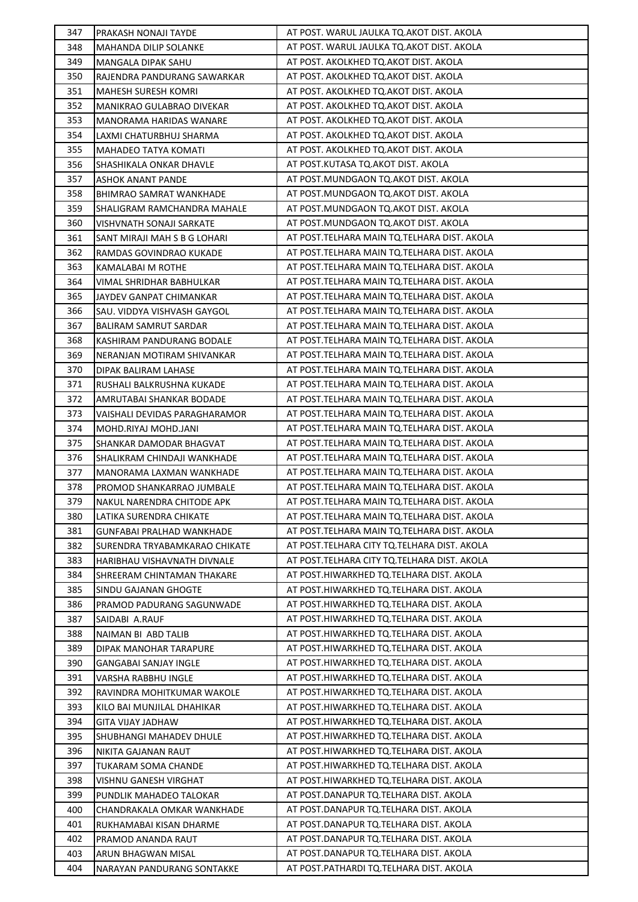| 347 | PRAKASH NONAJI TAYDE             | AT POST. WARUL JAULKA TQ.AKOT DIST. AKOLA     |
|-----|----------------------------------|-----------------------------------------------|
| 348 | MAHANDA DILIP SOLANKE            | AT POST. WARUL JAULKA TQ.AKOT DIST. AKOLA     |
| 349 | MANGALA DIPAK SAHU               | AT POST. AKOLKHED TQ.AKOT DIST. AKOLA         |
| 350 | RAJENDRA PANDURANG SAWARKAR      | AT POST. AKOLKHED TQ.AKOT DIST. AKOLA         |
| 351 | <b>MAHESH SURESH KOMRI</b>       | AT POST. AKOLKHED TQ.AKOT DIST. AKOLA         |
| 352 | MANIKRAO GULABRAO DIVEKAR        | AT POST. AKOLKHED TQ.AKOT DIST. AKOLA         |
| 353 | MANORAMA HARIDAS WANARE          | AT POST. AKOLKHED TQ.AKOT DIST. AKOLA         |
| 354 | LAXMI CHATURBHUJ SHARMA          | AT POST. AKOLKHED TQ.AKOT DIST. AKOLA         |
| 355 | MAHADEO TATYA KOMATI             | AT POST. AKOLKHED TQ.AKOT DIST. AKOLA         |
| 356 | SHASHIKALA ONKAR DHAVLE          | AT POST.KUTASA TQ.AKOT DIST. AKOLA            |
| 357 | <b>ASHOK ANANT PANDE</b>         | AT POST.MUNDGAON TQ.AKOT DIST. AKOLA          |
| 358 | BHIMRAO SAMRAT WANKHADE          | AT POST.MUNDGAON TQ.AKOT DIST. AKOLA          |
| 359 | SHALIGRAM RAMCHANDRA MAHALE      | AT POST.MUNDGAON TQ.AKOT DIST. AKOLA          |
| 360 | VISHVNATH SONAJI SARKATE         | AT POST.MUNDGAON TQ.AKOT DIST. AKOLA          |
| 361 | SANT MIRAJI MAH S B G LOHARI     | AT POST. TELHARA MAIN TQ. TELHARA DIST. AKOLA |
| 362 | RAMDAS GOVINDRAO KUKADE          | AT POST. TELHARA MAIN TO. TELHARA DIST. AKOLA |
| 363 | KAMALABAI M ROTHE                | AT POST. TELHARA MAIN TO. TELHARA DIST. AKOLA |
| 364 | VIMAL SHRIDHAR BABHULKAR         | AT POST.TELHARA MAIN TQ.TELHARA DIST. AKOLA   |
| 365 | JAYDEV GANPAT CHIMANKAR          | AT POST. TELHARA MAIN TO. TELHARA DIST. AKOLA |
| 366 | SAU. VIDDYA VISHVASH GAYGOL      | AT POST. TELHARA MAIN TQ. TELHARA DIST. AKOLA |
| 367 | BALIRAM SAMRUT SARDAR            | AT POST. TELHARA MAIN TO. TELHARA DIST. AKOLA |
| 368 | KASHIRAM PANDURANG BODALE        | AT POST. TELHARA MAIN TQ. TELHARA DIST. AKOLA |
| 369 | NERANJAN MOTIRAM SHIVANKAR       | AT POST. TELHARA MAIN TQ. TELHARA DIST. AKOLA |
| 370 | DIPAK BALIRAM LAHASE             | AT POST. TELHARA MAIN TO. TELHARA DIST. AKOLA |
| 371 | RUSHALI BALKRUSHNA KUKADE        | AT POST. TELHARA MAIN TO. TELHARA DIST. AKOLA |
| 372 | AMRUTABAI SHANKAR BODADE         | AT POST. TELHARA MAIN TQ. TELHARA DIST. AKOLA |
| 373 | VAISHALI DEVIDAS PARAGHARAMOR    | AT POST. TELHARA MAIN TQ. TELHARA DIST. AKOLA |
| 374 | MOHD.RIYAJ MOHD.JANI             | AT POST. TELHARA MAIN TO. TELHARA DIST. AKOLA |
| 375 | SHANKAR DAMODAR BHAGVAT          | AT POST. TELHARA MAIN TQ. TELHARA DIST. AKOLA |
| 376 | SHALIKRAM CHINDAJI WANKHADE      | AT POST. TELHARA MAIN TQ. TELHARA DIST. AKOLA |
| 377 | MANORAMA LAXMAN WANKHADE         | AT POST. TELHARA MAIN TO. TELHARA DIST. AKOLA |
| 378 | PROMOD SHANKARRAO JUMBALE        | AT POST. TELHARA MAIN TO. TELHARA DIST. AKOLA |
| 379 | NAKUL NARENDRA CHITODE APK       | AT POST.TELHARA MAIN TQ.TELHARA DIST. AKOLA   |
| 380 | LATIKA SURENDRA CHIKATE          | AT POST. TELHARA MAIN TO. TELHARA DIST. AKOLA |
| 381 | <b>GUNFABAI PRALHAD WANKHADE</b> | AT POST.TELHARA MAIN TQ.TELHARA DIST. AKOLA   |
| 382 | SURENDRA TRYABAMKARAO CHIKATE    | AT POST.TELHARA CITY TQ.TELHARA DIST. AKOLA   |
| 383 | HARIBHAU VISHAVNATH DIVNALE      | AT POST.TELHARA CITY TQ.TELHARA DIST. AKOLA   |
| 384 | SHREERAM CHINTAMAN THAKARE       | AT POST.HIWARKHED TQ.TELHARA DIST. AKOLA      |
| 385 | SINDU GAJANAN GHOGTE             | AT POST.HIWARKHED TO.TELHARA DIST. AKOLA      |
| 386 | PRAMOD PADURANG SAGUNWADE        | AT POST.HIWARKHED TQ.TELHARA DIST. AKOLA      |
| 387 | SAIDABI A.RAUF                   | AT POST.HIWARKHED TQ.TELHARA DIST. AKOLA      |
| 388 | NAIMAN BI ABD TALIB              | AT POST.HIWARKHED TQ.TELHARA DIST. AKOLA      |
| 389 | DIPAK MANOHAR TARAPURE           | AT POST.HIWARKHED TQ.TELHARA DIST. AKOLA      |
| 390 | <b>GANGABAI SANJAY INGLE</b>     | AT POST.HIWARKHED TQ.TELHARA DIST. AKOLA      |
| 391 | VARSHA RABBHU INGLE              | AT POST.HIWARKHED TQ.TELHARA DIST. AKOLA      |
| 392 | RAVINDRA MOHITKUMAR WAKOLE       | AT POST.HIWARKHED TQ.TELHARA DIST. AKOLA      |
| 393 | KILO BAI MUNJILAL DHAHIKAR       | AT POST.HIWARKHED TQ.TELHARA DIST. AKOLA      |
| 394 | <b>GITA VIJAY JADHAW</b>         | AT POST.HIWARKHED TQ.TELHARA DIST. AKOLA      |
| 395 | SHUBHANGI MAHADEV DHULE          | AT POST.HIWARKHED TQ.TELHARA DIST. AKOLA      |
| 396 | NIKITA GAJANAN RAUT              | AT POST.HIWARKHED TQ.TELHARA DIST. AKOLA      |
| 397 | TUKARAM SOMA CHANDE              | AT POST.HIWARKHED TQ.TELHARA DIST. AKOLA      |
| 398 | VISHNU GANESH VIRGHAT            | AT POST.HIWARKHED TQ.TELHARA DIST. AKOLA      |
| 399 | PUNDLIK MAHADEO TALOKAR          | AT POST.DANAPUR TQ.TELHARA DIST. AKOLA        |
| 400 | CHANDRAKALA OMKAR WANKHADE       | AT POST.DANAPUR TQ.TELHARA DIST. AKOLA        |
| 401 | RUKHAMABAI KISAN DHARME          | AT POST.DANAPUR TQ.TELHARA DIST. AKOLA        |
| 402 | PRAMOD ANANDA RAUT               | AT POST.DANAPUR TQ.TELHARA DIST. AKOLA        |
| 403 | ARUN BHAGWAN MISAL               | AT POST.DANAPUR TQ.TELHARA DIST. AKOLA        |
| 404 | NARAYAN PANDURANG SONTAKKE       | AT POST.PATHARDI TQ.TELHARA DIST. AKOLA       |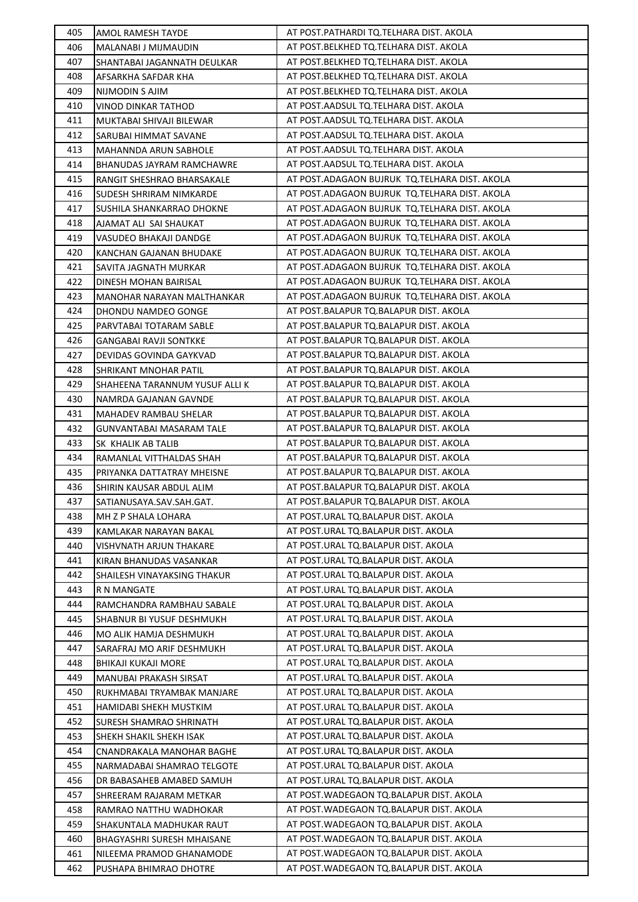| 405        | AMOL RAMESH TAYDE                                    | AT POST. PATHARDI TQ. TELHARA DIST. AKOLA                                            |
|------------|------------------------------------------------------|--------------------------------------------------------------------------------------|
| 406        | MALANABI J MIJMAUDIN                                 | AT POST. BELKHED TQ. TELHARA DIST. AKOLA                                             |
| 407        | SHANTABAI JAGANNATH DEULKAR                          | AT POST.BELKHED TQ.TELHARA DIST. AKOLA                                               |
| 408        | AFSARKHA SAFDAR KHA                                  | AT POST.BELKHED TQ.TELHARA DIST. AKOLA                                               |
| 409        | NIJMODIN S AJIM                                      | AT POST.BELKHED TQ.TELHARA DIST. AKOLA                                               |
| 410        | VINOD DINKAR TATHOD                                  | AT POST.AADSUL TQ.TELHARA DIST. AKOLA                                                |
| 411        | MUKTABAI SHIVAJI BILEWAR                             | AT POST. AADSUL TQ. TELHARA DIST. AKOLA                                              |
| 412        | SARUBAI HIMMAT SAVANE                                | AT POST. AADSUL TQ. TELHARA DIST. AKOLA                                              |
| 413        | MAHANNDA ARUN SABHOLE                                | AT POST.AADSUL TQ.TELHARA DIST. AKOLA                                                |
| 414        | BHANUDAS JAYRAM RAMCHAWRE                            | AT POST.AADSUL TQ.TELHARA DIST. AKOLA                                                |
| 415        | RANGIT SHESHRAO BHARSAKALE                           | AT POST. ADAGAON BUJRUK TO. TELHARA DIST. AKOLA                                      |
| 416        | SUDESH SHRIRAM NIMKARDE                              | AT POST.ADAGAON BUJRUK TQ.TELHARA DIST. AKOLA                                        |
| 417        | SUSHILA SHANKARRAO DHOKNE                            | AT POST.ADAGAON BUJRUK TQ.TELHARA DIST. AKOLA                                        |
| 418        | AJAMAT ALI SAI SHAUKAT                               | AT POST.ADAGAON BUJRUK TQ.TELHARA DIST. AKOLA                                        |
| 419        | VASUDEO BHAKAJI DANDGE                               | AT POST.ADAGAON BUJRUK TQ.TELHARA DIST. AKOLA                                        |
| 420        | KANCHAN GAJANAN BHUDAKE                              | AT POST.ADAGAON BUJRUK TQ.TELHARA DIST. AKOLA                                        |
| 421        | SAVITA JAGNATH MURKAR                                | AT POST.ADAGAON BUJRUK TO.TELHARA DIST. AKOLA                                        |
| 422        | DINESH MOHAN BAIRISAL                                | AT POST.ADAGAON BUJRUK TQ.TELHARA DIST. AKOLA                                        |
| 423        | MANOHAR NARAYAN MALTHANKAR                           | AT POST.ADAGAON BUJRUK TQ.TELHARA DIST. AKOLA                                        |
| 424        | DHONDU NAMDEO GONGE                                  | AT POST.BALAPUR TQ.BALAPUR DIST. AKOLA                                               |
| 425        | PARVTABAI TOTARAM SABLE                              | AT POST.BALAPUR TQ.BALAPUR DIST. AKOLA                                               |
| 426        | <b>GANGABAI RAVJI SONTKKE</b>                        | AT POST.BALAPUR TQ.BALAPUR DIST. AKOLA                                               |
| 427        | DEVIDAS GOVINDA GAYKVAD                              | AT POST.BALAPUR TQ.BALAPUR DIST. AKOLA                                               |
| 428        | SHRIKANT MNOHAR PATIL                                | AT POST.BALAPUR TQ.BALAPUR DIST. AKOLA                                               |
| 429        | SHAHEENA TARANNUM YUSUF ALLI K                       | AT POST.BALAPUR TQ.BALAPUR DIST. AKOLA                                               |
| 430        | NAMRDA GAJANAN GAVNDE                                | AT POST.BALAPUR TQ.BALAPUR DIST. AKOLA                                               |
| 431        | MAHADEV RAMBAU SHELAR                                | AT POST.BALAPUR TQ.BALAPUR DIST. AKOLA                                               |
| 432        |                                                      | AT POST.BALAPUR TQ.BALAPUR DIST. AKOLA                                               |
| 433        | GUNVANTABAI MASARAM TALE<br>SK KHALIK AB TALIB       | AT POST.BALAPUR TQ.BALAPUR DIST. AKOLA                                               |
| 434        | RAMANLAL VITTHALDAS SHAH                             | AT POST.BALAPUR TQ.BALAPUR DIST. AKOLA                                               |
| 435        | PRIYANKA DATTATRAY MHEISNE                           | AT POST.BALAPUR TQ.BALAPUR DIST. AKOLA                                               |
| 436        | SHIRIN KAUSAR ABDUL ALIM                             | AT POST.BALAPUR TQ.BALAPUR DIST. AKOLA                                               |
| 437        | SATIANUSAYA.SAV.SAH.GAT.                             | AT POST.BALAPUR TO.BALAPUR DIST. AKOLA                                               |
| 438        |                                                      | AT POST.URAL TQ.BALAPUR DIST. AKOLA                                                  |
| 439        | MH Z P SHALA LOHARA<br>KAMLAKAR NARAYAN BAKAL        | AT POST.URAL TQ.BALAPUR DIST. AKOLA                                                  |
| 440        | VISHVNATH ARJUN THAKARE                              | AT POST.URAL TQ.BALAPUR DIST. AKOLA                                                  |
| 441        |                                                      | AT POST.URAL TO.BALAPUR DIST. AKOLA                                                  |
| 442        | KIRAN BHANUDAS VASANKAR                              | AT POST.URAL TQ.BALAPUR DIST. AKOLA                                                  |
| 443        | SHAILESH VINAYAKSING THAKUR                          | AT POST.URAL TQ.BALAPUR DIST. AKOLA                                                  |
|            | R N MANGATE                                          | AT POST.URAL TQ.BALAPUR DIST. AKOLA                                                  |
| 444        | RAMCHANDRA RAMBHAU SABALE                            |                                                                                      |
| 445<br>446 | SHABNUR BI YUSUF DESHMUKH                            | AT POST.URAL TQ.BALAPUR DIST. AKOLA<br>AT POST.URAL TQ.BALAPUR DIST. AKOLA           |
|            | MO ALIK HAMJA DESHMUKH                               | AT POST.URAL TQ.BALAPUR DIST. AKOLA                                                  |
| 447<br>448 | SARAFRAJ MO ARIF DESHMUKH                            | AT POST.URAL TQ.BALAPUR DIST. AKOLA                                                  |
|            | BHIKAJI KUKAJI MORE                                  | AT POST.URAL TQ.BALAPUR DIST. AKOLA                                                  |
| 449<br>450 | MANUBAI PRAKASH SIRSAT<br>RUKHMABAI TRYAMBAK MANJARE | AT POST.URAL TQ.BALAPUR DIST. AKOLA                                                  |
|            |                                                      |                                                                                      |
| 451        | HAMIDABI SHEKH MUSTKIM                               | AT POST.URAL TQ.BALAPUR DIST. AKOLA<br>AT POST.URAL TQ.BALAPUR DIST. AKOLA           |
| 452<br>453 | SURESH SHAMRAO SHRINATH                              | AT POST.URAL TQ.BALAPUR DIST. AKOLA                                                  |
| 454        | SHEKH SHAKIL SHEKH ISAK<br>CNANDRAKALA MANOHAR BAGHE | AT POST.URAL TQ.BALAPUR DIST. AKOLA                                                  |
| 455        |                                                      | AT POST.URAL TQ.BALAPUR DIST. AKOLA                                                  |
|            | NARMADABAI SHAMRAO TELGOTE                           | AT POST.URAL TQ.BALAPUR DIST. AKOLA                                                  |
| 456        | DR BABASAHEB AMABED SAMUH                            |                                                                                      |
| 457        | SHREERAM RAJARAM METKAR                              | AT POST.WADEGAON TQ.BALAPUR DIST. AKOLA<br>AT POST. WADEGAON TQ. BALAPUR DIST. AKOLA |
| 458        | RAMRAO NATTHU WADHOKAR                               |                                                                                      |
| 459        | SHAKUNTALA MADHUKAR RAUT                             | AT POST.WADEGAON TQ.BALAPUR DIST. AKOLA                                              |
| 460        | BHAGYASHRI SURESH MHAISANE                           | AT POST. WADEGAON TO. BALAPUR DIST. AKOLA                                            |
| 461        | NILEEMA PRAMOD GHANAMODE                             | AT POST. WADEGAON TO. BALAPUR DIST. AKOLA                                            |
| 462        | PUSHAPA BHIMRAO DHOTRE                               | AT POST. WADEGAON TO. BALAPUR DIST. AKOLA                                            |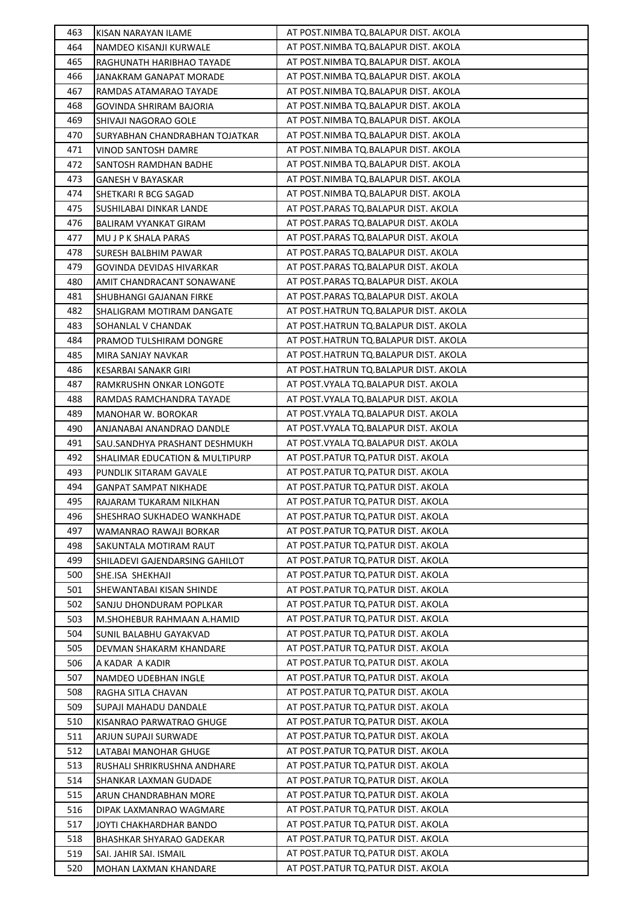| 463 | KISAN NARAYAN ILAME            | AT POST.NIMBA TQ.BALAPUR DIST. AKOLA   |
|-----|--------------------------------|----------------------------------------|
| 464 | NAMDEO KISANJI KURWALE         | AT POST.NIMBA TQ.BALAPUR DIST. AKOLA   |
| 465 | RAGHUNATH HARIBHAO TAYADE      | AT POST.NIMBA TQ.BALAPUR DIST. AKOLA   |
| 466 | JANAKRAM GANAPAT MORADE        | AT POST.NIMBA TQ.BALAPUR DIST. AKOLA   |
| 467 | RAMDAS ATAMARAO TAYADE         | AT POST.NIMBA TQ.BALAPUR DIST. AKOLA   |
| 468 | GOVINDA SHRIRAM BAJORIA        | AT POST.NIMBA TQ.BALAPUR DIST. AKOLA   |
| 469 | SHIVAJI NAGORAO GOLE           | AT POST.NIMBA TQ.BALAPUR DIST. AKOLA   |
| 470 | SURYABHAN CHANDRABHAN TOJATKAR | AT POST.NIMBA TQ.BALAPUR DIST. AKOLA   |
| 471 | VINOD SANTOSH DAMRE            | AT POST.NIMBA TQ.BALAPUR DIST. AKOLA   |
| 472 | SANTOSH RAMDHAN BADHE          | AT POST.NIMBA TQ.BALAPUR DIST. AKOLA   |
| 473 | <b>GANESH V BAYASKAR</b>       | AT POST.NIMBA TQ.BALAPUR DIST. AKOLA   |
| 474 | SHETKARI R BCG SAGAD           | AT POST.NIMBA TQ.BALAPUR DIST. AKOLA   |
| 475 | SUSHILABAI DINKAR LANDE        | AT POST.PARAS TQ.BALAPUR DIST. AKOLA   |
| 476 | <b>BALIRAM VYANKAT GIRAM</b>   | AT POST.PARAS TQ.BALAPUR DIST. AKOLA   |
| 477 | MU J P K SHALA PARAS           | AT POST.PARAS TQ.BALAPUR DIST. AKOLA   |
| 478 | <b>SURESH BALBHIM PAWAR</b>    | AT POST.PARAS TQ.BALAPUR DIST. AKOLA   |
| 479 | GOVINDA DEVIDAS HIVARKAR       | AT POST.PARAS TQ.BALAPUR DIST. AKOLA   |
| 480 | AMIT CHANDRACANT SONAWANE      | AT POST.PARAS TQ.BALAPUR DIST. AKOLA   |
| 481 | SHUBHANGI GAJANAN FIRKE        | AT POST.PARAS TQ.BALAPUR DIST. AKOLA   |
| 482 | SHALIGRAM MOTIRAM DANGATE      | AT POST.HATRUN TQ.BALAPUR DIST. AKOLA  |
| 483 | SOHANLAL V CHANDAK             | AT POST.HATRUN TQ.BALAPUR DIST. AKOLA  |
| 484 | PRAMOD TULSHIRAM DONGRE        | AT POST.HATRUN TQ.BALAPUR DIST. AKOLA  |
| 485 | MIRA SANJAY NAVKAR             | AT POST.HATRUN TQ.BALAPUR DIST. AKOLA  |
| 486 | KESARBAI SANAKR GIRI           | AT POST.HATRUN TQ.BALAPUR DIST. AKOLA  |
| 487 | RAMKRUSHN ONKAR LONGOTE        | AT POST. VYALA TQ. BALAPUR DIST. AKOLA |
| 488 | RAMDAS RAMCHANDRA TAYADE       | AT POST. VYALA TQ. BALAPUR DIST. AKOLA |
| 489 | MANOHAR W. BOROKAR             | AT POST. VYALA TQ. BALAPUR DIST. AKOLA |
| 490 | ANJANABAI ANANDRAO DANDLE      | AT POST.VYALA TQ.BALAPUR DIST. AKOLA   |
| 491 | SAU.SANDHYA PRASHANT DESHMUKH  | AT POST.VYALA TQ.BALAPUR DIST. AKOLA   |
| 492 | SHALIMAR EDUCATION & MULTIPURP | AT POST.PATUR TQ.PATUR DIST. AKOLA     |
| 493 | PUNDLIK SITARAM GAVALE         | AT POST. PATUR TQ. PATUR DIST. AKOLA   |
| 494 | <b>GANPAT SAMPAT NIKHADE</b>   | AT POST. PATUR TO. PATUR DIST. AKOLA   |
| 495 | RAJARAM TUKARAM NILKHAN        | AT POST.PATUR TQ.PATUR DIST. AKOLA     |
| 496 | SHESHRAO SUKHADEO WANKHADE     | AT POST.PATUR TQ.PATUR DIST. AKOLA     |
| 497 | WAMANRAO RAWAJI BORKAR         | AT POST.PATUR TO.PATUR DIST. AKOLA     |
| 498 | SAKUNTALA MOTIRAM RAUT         | AT POST.PATUR TQ.PATUR DIST. AKOLA     |
| 499 | SHILADEVI GAJENDARSING GAHILOT | AT POST.PATUR TQ.PATUR DIST. AKOLA     |
| 500 | SHE.ISA SHEKHAJI               | AT POST.PATUR TQ.PATUR DIST. AKOLA     |
| 501 | SHEWANTABAI KISAN SHINDE       | AT POST.PATUR TQ.PATUR DIST. AKOLA     |
| 502 | SANJU DHONDURAM POPLKAR        | AT POST.PATUR TQ.PATUR DIST. AKOLA     |
| 503 | M.SHOHEBUR RAHMAAN A.HAMID     | AT POST.PATUR TQ.PATUR DIST. AKOLA     |
| 504 | SUNIL BALABHU GAYAKVAD         | AT POST. PATUR TQ. PATUR DIST. AKOLA   |
| 505 | DEVMAN SHAKARM KHANDARE        | AT POST. PATUR TQ. PATUR DIST. AKOLA   |
| 506 | A KADAR A KADIR                | AT POST. PATUR TQ. PATUR DIST. AKOLA   |
| 507 | NAMDEO UDEBHAN INGLE           | AT POST.PATUR TQ.PATUR DIST. AKOLA     |
| 508 | RAGHA SITLA CHAVAN             | AT POST.PATUR TQ.PATUR DIST. AKOLA     |
| 509 | SUPAJI MAHADU DANDALE          | AT POST.PATUR TQ.PATUR DIST. AKOLA     |
| 510 | KISANRAO PARWATRAO GHUGE       | AT POST. PATUR TQ. PATUR DIST. AKOLA   |
| 511 | ARJUN SUPAJI SURWADE           | AT POST. PATUR TQ. PATUR DIST. AKOLA   |
| 512 | LATABAI MANOHAR GHUGE          | AT POST. PATUR TQ. PATUR DIST. AKOLA   |
| 513 | RUSHALI SHRIKRUSHNA ANDHARE    | AT POST. PATUR TQ. PATUR DIST. AKOLA   |
| 514 | SHANKAR LAXMAN GUDADE          | AT POST.PATUR TQ.PATUR DIST. AKOLA     |
| 515 | ARUN CHANDRABHAN MORE          | AT POST.PATUR TQ.PATUR DIST. AKOLA     |
| 516 | DIPAK LAXMANRAO WAGMARE        | AT POST.PATUR TQ.PATUR DIST. AKOLA     |
| 517 | JOYTI CHAKHARDHAR BANDO        | AT POST.PATUR TQ.PATUR DIST. AKOLA     |
| 518 | BHASHKAR SHYARAO GADEKAR       | AT POST. PATUR TQ. PATUR DIST. AKOLA   |
| 519 | SAI. JAHIR SAI. ISMAIL         | AT POST. PATUR TQ. PATUR DIST. AKOLA   |
| 520 | MOHAN LAXMAN KHANDARE          | AT POST.PATUR TQ.PATUR DIST. AKOLA     |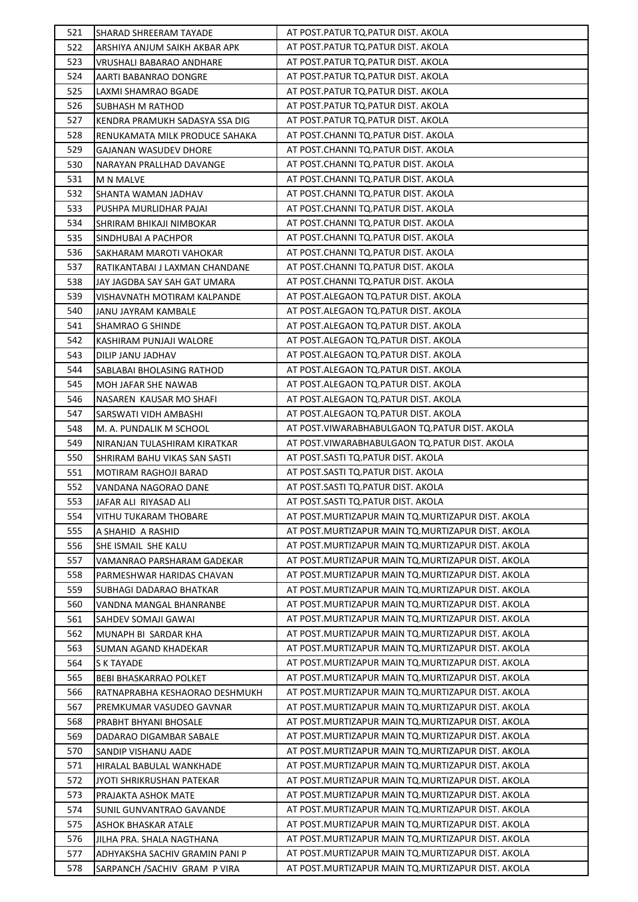| 521 | SHARAD SHREERAM TAYADE         | AT POST.PATUR TQ.PATUR DIST. AKOLA                  |
|-----|--------------------------------|-----------------------------------------------------|
| 522 | ARSHIYA ANJUM SAIKH AKBAR APK  | AT POST.PATUR TQ.PATUR DIST. AKOLA                  |
| 523 | VRUSHALI BABARAO ANDHARE       | AT POST. PATUR TQ. PATUR DIST. AKOLA                |
| 524 | AARTI BABANRAO DONGRE          | AT POST. PATUR TQ. PATUR DIST. AKOLA                |
| 525 | LAXMI SHAMRAO BGADE            | AT POST. PATUR TQ. PATUR DIST. AKOLA                |
| 526 | SUBHASH M RATHOD               | AT POST. PATUR TQ. PATUR DIST. AKOLA                |
| 527 | KENDRA PRAMUKH SADASYA SSA DIG | AT POST. PATUR TQ. PATUR DIST. AKOLA                |
| 528 | RENUKAMATA MILK PRODUCE SAHAKA | AT POST.CHANNI TQ.PATUR DIST. AKOLA                 |
| 529 | <b>GAJANAN WASUDEV DHORE</b>   | AT POST.CHANNI TQ.PATUR DIST. AKOLA                 |
| 530 | NARAYAN PRALLHAD DAVANGE       | AT POST.CHANNI TQ.PATUR DIST. AKOLA                 |
| 531 | <b>M N MALVE</b>               | AT POST.CHANNI TQ.PATUR DIST. AKOLA                 |
| 532 | SHANTA WAMAN JADHAV            | AT POST.CHANNI TQ.PATUR DIST. AKOLA                 |
| 533 | PUSHPA MURLIDHAR PAJAI         | AT POST.CHANNI TQ.PATUR DIST. AKOLA                 |
| 534 | SHRIRAM BHIKAJI NIMBOKAR       | AT POST.CHANNI TQ.PATUR DIST. AKOLA                 |
| 535 | SINDHUBAI A PACHPOR            | AT POST.CHANNI TQ.PATUR DIST. AKOLA                 |
| 536 | SAKHARAM MAROTI VAHOKAR        | AT POST.CHANNI TQ.PATUR DIST. AKOLA                 |
| 537 | RATIKANTABAI J LAXMAN CHANDANE | AT POST.CHANNI TQ.PATUR DIST. AKOLA                 |
| 538 | JAY JAGDBA SAY SAH GAT UMARA   | AT POST.CHANNI TQ.PATUR DIST. AKOLA                 |
| 539 | VISHAVNATH MOTIRAM KALPANDE    | AT POST.ALEGAON TO.PATUR DIST. AKOLA                |
| 540 | JANU JAYRAM KAMBALE            | AT POST.ALEGAON TO.PATUR DIST. AKOLA                |
| 541 | SHAMRAO G SHINDE               | AT POST.ALEGAON TO.PATUR DIST. AKOLA                |
| 542 | KASHIRAM PUNJAJI WALORE        | AT POST.ALEGAON TQ.PATUR DIST. AKOLA                |
| 543 | DILIP JANU JADHAV              | AT POST.ALEGAON TO.PATUR DIST. AKOLA                |
| 544 | SABLABAI BHOLASING RATHOD      | AT POST.ALEGAON TO.PATUR DIST. AKOLA                |
| 545 | MOH JAFAR SHE NAWAB            | AT POST.ALEGAON TO.PATUR DIST. AKOLA                |
| 546 | NASAREN KAUSAR MO SHAFI        | AT POST.ALEGAON TO.PATUR DIST. AKOLA                |
| 547 | SARSWATI VIDH AMBASHI          | AT POST.ALEGAON TQ.PATUR DIST. AKOLA                |
| 548 | M. A. PUNDALIK M SCHOOL        | AT POST. VIWARABHABULGAON TO. PATUR DIST. AKOLA     |
| 549 | NIRANJAN TULASHIRAM KIRATKAR   | AT POST. VIWARABHABULGAON TQ. PATUR DIST. AKOLA     |
| 550 | SHRIRAM BAHU VIKAS SAN SASTI   | AT POST.SASTI TQ.PATUR DIST. AKOLA                  |
| 551 | MOTIRAM RAGHOJI BARAD          | AT POST.SASTI TQ.PATUR DIST. AKOLA                  |
| 552 | VANDANA NAGORAO DANE           | AT POST.SASTI TQ.PATUR DIST. AKOLA                  |
| 553 | JAFAR ALI RIYASAD ALI          | AT POST.SASTI TQ.PATUR DIST. AKOLA                  |
| 554 | VITHU TUKARAM THOBARE          | AT POST. MURTIZAPUR MAIN TO. MURTIZAPUR DIST. AKOLA |
| 555 | A SHAHID A RASHID              | AT POST.MURTIZAPUR MAIN TQ.MURTIZAPUR DIST. AKOLA   |
| 556 | SHE ISMAIL SHE KALU            | AT POST. MURTIZAPUR MAIN TO. MURTIZAPUR DIST. AKOLA |
| 557 | VAMANRAO PARSHARAM GADEKAR     | AT POST.MURTIZAPUR MAIN TQ.MURTIZAPUR DIST. AKOLA   |
| 558 | PARMESHWAR HARIDAS CHAVAN      | AT POST. MURTIZAPUR MAIN TO. MURTIZAPUR DIST. AKOLA |
| 559 | SUBHAGI DADARAO BHATKAR        | AT POST.MURTIZAPUR MAIN TQ.MURTIZAPUR DIST. AKOLA   |
| 560 | VANDNA MANGAL BHANRANBE        | AT POST.MURTIZAPUR MAIN TQ.MURTIZAPUR DIST. AKOLA   |
| 561 | SAHDEV SOMAJI GAWAI            | AT POST. MURTIZAPUR MAIN TO. MURTIZAPUR DIST. AKOLA |
| 562 | MUNAPH BI SARDAR KHA           | AT POST.MURTIZAPUR MAIN TQ.MURTIZAPUR DIST. AKOLA   |
| 563 | SUMAN AGAND KHADEKAR           | AT POST.MURTIZAPUR MAIN TQ.MURTIZAPUR DIST. AKOLA   |
| 564 | S K TAYADE                     | AT POST.MURTIZAPUR MAIN TQ.MURTIZAPUR DIST. AKOLA   |
| 565 | <b>BEBI BHASKARRAO POLKET</b>  | AT POST. MURTIZAPUR MAIN TO. MURTIZAPUR DIST. AKOLA |
| 566 | RATNAPRABHA KESHAORAO DESHMUKH | AT POST.MURTIZAPUR MAIN TQ.MURTIZAPUR DIST. AKOLA   |
| 567 | PREMKUMAR VASUDEO GAVNAR       | AT POST.MURTIZAPUR MAIN TQ.MURTIZAPUR DIST. AKOLA   |
| 568 | PRABHT BHYANI BHOSALE          | AT POST. MURTIZAPUR MAIN TO. MURTIZAPUR DIST. AKOLA |
| 569 | DADARAO DIGAMBAR SABALE        | AT POST.MURTIZAPUR MAIN TQ.MURTIZAPUR DIST. AKOLA   |
| 570 | SANDIP VISHANU AADE            | AT POST. MURTIZAPUR MAIN TO. MURTIZAPUR DIST. AKOLA |
| 571 | HIRALAL BABULAL WANKHADE       | AT POST.MURTIZAPUR MAIN TQ.MURTIZAPUR DIST. AKOLA   |
| 572 | JYOTI SHRIKRUSHAN PATEKAR      | AT POST.MURTIZAPUR MAIN TQ.MURTIZAPUR DIST. AKOLA   |
| 573 | PRAJAKTA ASHOK MATE            | AT POST.MURTIZAPUR MAIN TQ.MURTIZAPUR DIST. AKOLA   |
| 574 | SUNIL GUNVANTRAO GAVANDE       | AT POST.MURTIZAPUR MAIN TQ.MURTIZAPUR DIST. AKOLA   |
| 575 | ASHOK BHASKAR ATALE            | AT POST.MURTIZAPUR MAIN TQ.MURTIZAPUR DIST. AKOLA   |
| 576 | JILHA PRA. SHALA NAGTHANA      | AT POST. MURTIZAPUR MAIN TO. MURTIZAPUR DIST. AKOLA |
| 577 | ADHYAKSHA SACHIV GRAMIN PANI P | AT POST. MURTIZAPUR MAIN TO. MURTIZAPUR DIST. AKOLA |
| 578 | SARPANCH / SACHIV GRAM P VIRA  | AT POST.MURTIZAPUR MAIN TQ.MURTIZAPUR DIST. AKOLA   |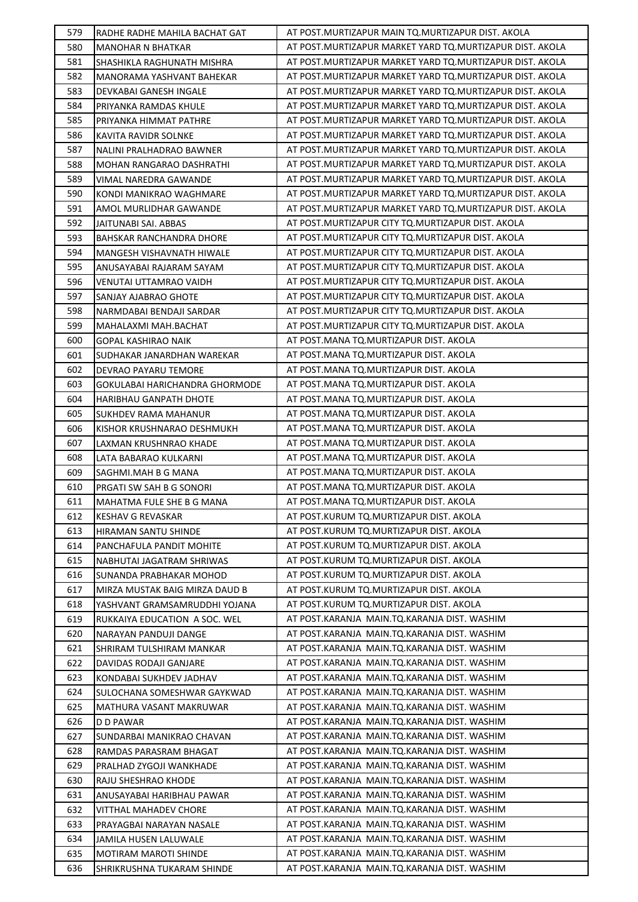| 579        | RADHE RADHE MAHILA BACHAT GAT                          | AT POST.MURTIZAPUR MAIN TQ.MURTIZAPUR DIST. AKOLA                                            |
|------------|--------------------------------------------------------|----------------------------------------------------------------------------------------------|
| 580        | <b>MANOHAR N BHATKAR</b>                               | AT POST.MURTIZAPUR MARKET YARD TQ.MURTIZAPUR DIST. AKOLA                                     |
| 581        | SHASHIKLA RAGHUNATH MISHRA                             | AT POST. MURTIZAPUR MARKET YARD TO. MURTIZAPUR DIST. AKOLA                                   |
| 582        | MANORAMA YASHVANT BAHEKAR                              | AT POST. MURTIZAPUR MARKET YARD TO. MURTIZAPUR DIST. AKOLA                                   |
| 583        | DEVKABAI GANESH INGALE                                 | AT POST.MURTIZAPUR MARKET YARD TQ.MURTIZAPUR DIST. AKOLA                                     |
| 584        | PRIYANKA RAMDAS KHULE                                  | AT POST. MURTIZAPUR MARKET YARD TO. MURTIZAPUR DIST. AKOLA                                   |
| 585        | PRIYANKA HIMMAT PATHRE                                 | AT POST.MURTIZAPUR MARKET YARD TQ.MURTIZAPUR DIST. AKOLA                                     |
| 586        | KAVITA RAVIDR SOLNKE                                   | AT POST.MURTIZAPUR MARKET YARD TQ.MURTIZAPUR DIST. AKOLA                                     |
| 587        | NALINI PRALHADRAO BAWNER                               | AT POST. MURTIZAPUR MARKET YARD TO. MURTIZAPUR DIST. AKOLA                                   |
| 588        | MOHAN RANGARAO DASHRATHI                               | AT POST. MURTIZAPUR MARKET YARD TO. MURTIZAPUR DIST. AKOLA                                   |
| 589        | VIMAL NAREDRA GAWANDE                                  | AT POST.MURTIZAPUR MARKET YARD TO.MURTIZAPUR DIST. AKOLA                                     |
| 590        | KONDI MANIKRAO WAGHMARE                                | AT POST. MURTIZAPUR MARKET YARD TO. MURTIZAPUR DIST. AKOLA                                   |
| 591        | AMOL MURLIDHAR GAWANDE                                 | AT POST. MURTIZAPUR MARKET YARD TO. MURTIZAPUR DIST. AKOLA                                   |
| 592        | JAITUNABI SAI. ABBAS                                   | AT POST. MURTIZAPUR CITY TQ. MURTIZAPUR DIST. AKOLA                                          |
| 593        | BAHSKAR RANCHANDRA DHORE                               | AT POST. MURTIZAPUR CITY TQ. MURTIZAPUR DIST. AKOLA                                          |
| 594        | MANGESH VISHAVNATH HIWALE                              | AT POST. MURTIZAPUR CITY TQ. MURTIZAPUR DIST. AKOLA                                          |
| 595        | ANUSAYABAI RAJARAM SAYAM                               | AT POST.MURTIZAPUR CITY TO.MURTIZAPUR DIST. AKOLA                                            |
| 596        | VENUTAI UTTAMRAO VAIDH                                 | AT POST.MURTIZAPUR CITY TQ.MURTIZAPUR DIST. AKOLA                                            |
| 597        | SANJAY AJABRAO GHOTE                                   | AT POST.MURTIZAPUR CITY TQ.MURTIZAPUR DIST. AKOLA                                            |
| 598        | NARMDABAI BENDAJI SARDAR                               | AT POST. MURTIZAPUR CITY TQ. MURTIZAPUR DIST. AKOLA                                          |
| 599        | MAHALAXMI MAH.BACHAT                                   | AT POST.MURTIZAPUR CITY TQ.MURTIZAPUR DIST. AKOLA                                            |
| 600        | GOPAL KASHIRAO NAIK                                    | AT POST.MANA TQ.MURTIZAPUR DIST. AKOLA                                                       |
| 601        | SUDHAKAR JANARDHAN WAREKAR                             | AT POST.MANA TQ.MURTIZAPUR DIST. AKOLA                                                       |
| 602        | DEVRAO PAYARU TEMORE                                   | AT POST.MANA TQ.MURTIZAPUR DIST. AKOLA                                                       |
| 603        | GOKULABAI HARICHANDRA GHORMODE                         | AT POST.MANA TQ.MURTIZAPUR DIST. AKOLA                                                       |
| 604        | HARIBHAU GANPATH DHOTE                                 | AT POST.MANA TQ.MURTIZAPUR DIST. AKOLA                                                       |
| 605        | <b>SUKHDEV RAMA MAHANUR</b>                            | AT POST.MANA TQ.MURTIZAPUR DIST. AKOLA                                                       |
| 606        | KISHOR KRUSHNARAO DESHMUKH                             | AT POST.MANA TQ.MURTIZAPUR DIST. AKOLA                                                       |
| 607        | LAXMAN KRUSHNRAO KHADE                                 | AT POST.MANA TQ.MURTIZAPUR DIST. AKOLA                                                       |
| 608        | LATA BABARAO KULKARNI                                  | AT POST.MANA TQ.MURTIZAPUR DIST. AKOLA                                                       |
| 609        | SAGHMI.MAH B G MANA                                    | AT POST.MANA TQ.MURTIZAPUR DIST. AKOLA                                                       |
| 610        | PRGATI SW SAH B G SONORI                               | AT POST.MANA TQ.MURTIZAPUR DIST. AKOLA                                                       |
| 611        | MAHATMA FULE SHE B G MANA                              | AT POST.MANA TQ.MURTIZAPUR DIST. AKOLA                                                       |
| 612        | <b>KESHAV G REVASKAR</b>                               | AT POST.KURUM TO.MURTIZAPUR DIST. AKOLA                                                      |
| 613        | HIRAMAN SANTU SHINDE                                   | AT POST.KURUM TO.MURTIZAPUR DIST. AKOLA                                                      |
| 614        | PANCHAFULA PANDIT MOHITE                               | AT POST.KURUM TQ.MURTIZAPUR DIST. AKOLA                                                      |
| 615        | NABHUTAI JAGATRAM SHRIWAS                              | AT POST.KURUM TQ.MURTIZAPUR DIST. AKOLA                                                      |
| 616        | SUNANDA PRABHAKAR MOHOD                                | AT POST.KURUM TQ.MURTIZAPUR DIST. AKOLA                                                      |
| 617        | MIRZA MUSTAK BAIG MIRZA DAUD B                         | AT POST.KURUM TO.MURTIZAPUR DIST. AKOLA                                                      |
|            |                                                        | AT POST.KURUM TQ.MURTIZAPUR DIST. AKOLA                                                      |
| 618<br>619 | YASHVANT GRAMSAMRUDDHI YOJANA                          | AT POST.KARANJA MAIN.TQ.KARANJA DIST. WASHIM                                                 |
| 620        | RUKKAIYA EDUCATION A SOC. WEL<br>NARAYAN PANDUJI DANGE | AT POST.KARANJA MAIN.TQ.KARANJA DIST. WASHIM                                                 |
|            |                                                        |                                                                                              |
| 621<br>622 | SHRIRAM TULSHIRAM MANKAR                               | AT POST.KARANJA MAIN.TQ.KARANJA DIST. WASHIM<br>AT POST.KARANJA MAIN.TQ.KARANJA DIST. WASHIM |
| 623        | DAVIDAS RODAJI GANJARE                                 | AT POST.KARANJA MAIN.TQ.KARANJA DIST. WASHIM                                                 |
| 624        | KONDABAI SUKHDEV JADHAV                                | AT POST.KARANJA MAIN.TQ.KARANJA DIST. WASHIM                                                 |
|            | SULOCHANA SOMESHWAR GAYKWAD                            |                                                                                              |
| 625        | MATHURA VASANT MAKRUWAR                                | AT POST.KARANJA MAIN.TQ.KARANJA DIST. WASHIM<br>AT POST.KARANJA MAIN.TQ.KARANJA DIST. WASHIM |
| 626        | D D PAWAR                                              |                                                                                              |
| 627        | SUNDARBAI MANIKRAO CHAVAN                              | AT POST.KARANJA MAIN.TQ.KARANJA DIST. WASHIM<br>AT POST.KARANJA MAIN.TQ.KARANJA DIST. WASHIM |
| 628        | RAMDAS PARASRAM BHAGAT                                 |                                                                                              |
| 629        | PRALHAD ZYGOJI WANKHADE                                | AT POST.KARANJA MAIN.TQ.KARANJA DIST. WASHIM                                                 |
| 630        | RAJU SHESHRAO KHODE                                    | AT POST.KARANJA MAIN.TQ.KARANJA DIST. WASHIM                                                 |
| 631        | ANUSAYABAI HARIBHAU PAWAR                              | AT POST.KARANJA MAIN.TQ.KARANJA DIST. WASHIM                                                 |
| 632        | VITTHAL MAHADEV CHORE                                  | AT POST.KARANJA MAIN.TQ.KARANJA DIST. WASHIM                                                 |
| 633        | PRAYAGBAI NARAYAN NASALE                               | AT POST.KARANJA MAIN.TQ.KARANJA DIST. WASHIM                                                 |
| 634        | JAMILA HUSEN LALUWALE                                  | AT POST.KARANJA MAIN.TQ.KARANJA DIST. WASHIM                                                 |
| 635        | <b>MOTIRAM MAROTI SHINDE</b>                           | AT POST.KARANJA MAIN.TQ.KARANJA DIST. WASHIM                                                 |
| 636        | SHRIKRUSHNA TUKARAM SHINDE                             | AT POST.KARANJA MAIN.TQ.KARANJA DIST. WASHIM                                                 |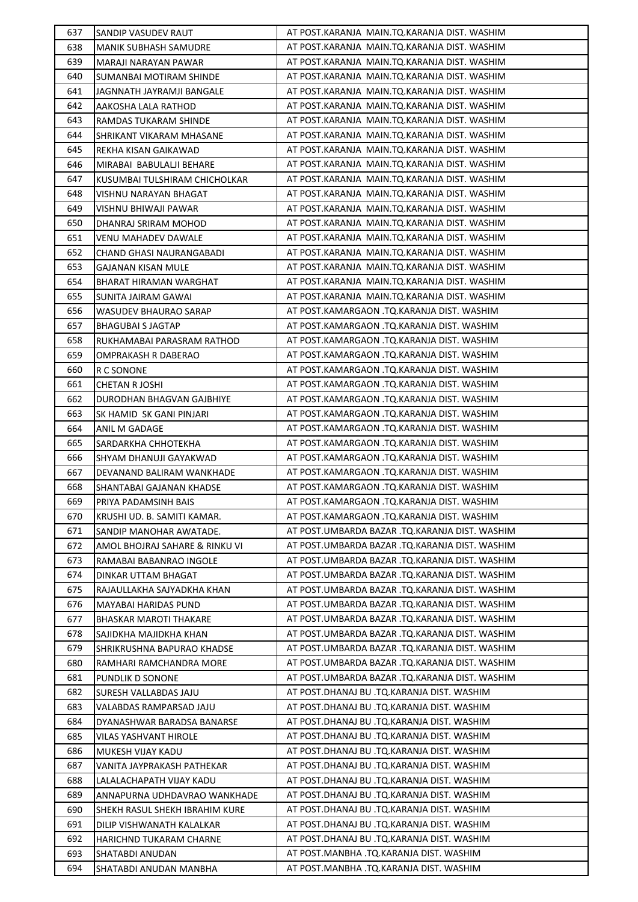| 637 | SANDIP VASUDEV RAUT            | AT POST.KARANJA MAIN.TQ.KARANJA DIST. WASHIM   |
|-----|--------------------------------|------------------------------------------------|
| 638 | MANIK SUBHASH SAMUDRE          | AT POST.KARANJA MAIN.TQ.KARANJA DIST. WASHIM   |
| 639 | MARAJI NARAYAN PAWAR           | AT POST.KARANJA MAIN.TQ.KARANJA DIST. WASHIM   |
| 640 | SUMANBAI MOTIRAM SHINDE        | AT POST.KARANJA MAIN.TQ.KARANJA DIST. WASHIM   |
| 641 | JAGNNATH JAYRAMJI BANGALE      | AT POST.KARANJA MAIN.TQ.KARANJA DIST. WASHIM   |
| 642 | AAKOSHA LALA RATHOD            | AT POST.KARANJA MAIN.TQ.KARANJA DIST. WASHIM   |
| 643 | RAMDAS TUKARAM SHINDE          | AT POST.KARANJA MAIN.TQ.KARANJA DIST. WASHIM   |
| 644 | SHRIKANT VIKARAM MHASANE       | AT POST.KARANJA MAIN.TQ.KARANJA DIST. WASHIM   |
| 645 | REKHA KISAN GAIKAWAD           | AT POST.KARANJA MAIN.TQ.KARANJA DIST. WASHIM   |
| 646 | MIRABAI BABULALJI BEHARE       | AT POST.KARANJA MAIN.TQ.KARANJA DIST. WASHIM   |
| 647 | KUSUMBAI TULSHIRAM CHICHOLKAR  | AT POST.KARANJA MAIN.TQ.KARANJA DIST. WASHIM   |
| 648 | VISHNU NARAYAN BHAGAT          | AT POST.KARANJA MAIN.TQ.KARANJA DIST. WASHIM   |
| 649 | VISHNU BHIWAJI PAWAR           | AT POST.KARANJA MAIN.TQ.KARANJA DIST. WASHIM   |
| 650 | DHANRAJ SRIRAM MOHOD           | AT POST.KARANJA MAIN.TQ.KARANJA DIST. WASHIM   |
| 651 | VENU MAHADEV DAWALE            | AT POST.KARANJA MAIN.TQ.KARANJA DIST. WASHIM   |
| 652 | CHAND GHASI NAURANGABADI       | AT POST.KARANJA MAIN.TQ.KARANJA DIST. WASHIM   |
| 653 | GAJANAN KISAN MULE             | AT POST.KARANJA MAIN.TQ.KARANJA DIST. WASHIM   |
| 654 | <b>BHARAT HIRAMAN WARGHAT</b>  | AT POST.KARANJA MAIN.TQ.KARANJA DIST. WASHIM   |
| 655 | SUNITA JAIRAM GAWAI            | AT POST.KARANJA MAIN.TO.KARANJA DIST. WASHIM   |
| 656 | <b>WASUDEV BHAURAO SARAP</b>   | AT POST.KAMARGAON .TQ.KARANJA DIST. WASHIM     |
| 657 | BHAGUBAI S JAGTAP              | AT POST.KAMARGAON .TQ.KARANJA DIST. WASHIM     |
| 658 | RUKHAMABAI PARASRAM RATHOD     | AT POST.KAMARGAON .TQ.KARANJA DIST. WASHIM     |
| 659 | OMPRAKASH R DABERAO            | AT POST.KAMARGAON .TQ.KARANJA DIST. WASHIM     |
| 660 | R C SONONE                     | AT POST.KAMARGAON .TQ.KARANJA DIST. WASHIM     |
| 661 | CHETAN R JOSHI                 | AT POST.KAMARGAON .TQ.KARANJA DIST. WASHIM     |
| 662 | DURODHAN BHAGVAN GAJBHIYE      | AT POST.KAMARGAON .TQ.KARANJA DIST. WASHIM     |
| 663 | SK HAMID SK GANI PINJARI       | AT POST.KAMARGAON .TQ.KARANJA DIST. WASHIM     |
| 664 | ANIL M GADAGE                  | AT POST.KAMARGAON .TQ.KARANJA DIST. WASHIM     |
| 665 | SARDARKHA CHHOTEKHA            | AT POST.KAMARGAON .TQ.KARANJA DIST. WASHIM     |
| 666 | SHYAM DHANUJI GAYAKWAD         | AT POST.KAMARGAON .TQ.KARANJA DIST. WASHIM     |
| 667 | DEVANAND BALIRAM WANKHADE      | AT POST.KAMARGAON .TQ.KARANJA DIST. WASHIM     |
| 668 | SHANTABAI GAJANAN KHADSE       | AT POST.KAMARGAON .TQ.KARANJA DIST. WASHIM     |
| 669 | PRIYA PADAMSINH BAIS           | AT POST.KAMARGAON .TQ.KARANJA DIST. WASHIM     |
| 670 | KRUSHI UD. B. SAMITI KAMAR.    | AT POST.KAMARGAON .TO.KARANJA DIST. WASHIM     |
| 671 | SANDIP MANOHAR AWATADE.        | AT POST.UMBARDA BAZAR .TQ.KARANJA DIST. WASHIM |
| 672 | AMOL BHOJRAJ SAHARE & RINKU VI | AT POST.UMBARDA BAZAR .TQ.KARANJA DIST. WASHIM |
| 673 | RAMABAI BABANRAO INGOLE        | AT POST.UMBARDA BAZAR .TO.KARANJA DIST. WASHIM |
| 674 | DINKAR UTTAM BHAGAT            | AT POST.UMBARDA BAZAR .TQ.KARANJA DIST. WASHIM |
| 675 | RAJAULLAKHA SAJYADKHA KHAN     | AT POST.UMBARDA BAZAR .TQ.KARANJA DIST. WASHIM |
| 676 | MAYABAI HARIDAS PUND           | AT POST.UMBARDA BAZAR .TQ.KARANJA DIST. WASHIM |
| 677 | BHASKAR MAROTI THAKARE         | AT POST.UMBARDA BAZAR .TQ.KARANJA DIST. WASHIM |
| 678 | SAJIDKHA MAJIDKHA KHAN         | AT POST.UMBARDA BAZAR .TQ.KARANJA DIST. WASHIM |
| 679 | SHRIKRUSHNA BAPURAO KHADSE     | AT POST.UMBARDA BAZAR .TQ.KARANJA DIST. WASHIM |
| 680 | RAMHARI RAMCHANDRA MORE        | AT POST.UMBARDA BAZAR .TQ.KARANJA DIST. WASHIM |
| 681 | PUNDLIK D SONONE               | AT POST.UMBARDA BAZAR .TQ.KARANJA DIST. WASHIM |
| 682 | SURESH VALLABDAS JAJU          | AT POST.DHANAJ BU .TQ.KARANJA DIST. WASHIM     |
| 683 | VALABDAS RAMPARSAD JAJU        | AT POST.DHANAJ BU .TQ.KARANJA DIST. WASHIM     |
| 684 | DYANASHWAR BARADSA BANARSE     | AT POST.DHANAJ BU .TQ.KARANJA DIST. WASHIM     |
| 685 | VILAS YASHVANT HIROLE          | AT POST.DHANAJ BU .TQ.KARANJA DIST. WASHIM     |
| 686 | MUKESH VIJAY KADU              | AT POST.DHANAJ BU .TQ.KARANJA DIST. WASHIM     |
| 687 | VANITA JAYPRAKASH PATHEKAR     | AT POST.DHANAJ BU .TQ.KARANJA DIST. WASHIM     |
| 688 | LALALACHAPATH VIJAY KADU       | AT POST.DHANAJ BU .TQ.KARANJA DIST. WASHIM     |
| 689 | ANNAPURNA UDHDAVRAO WANKHADE   | AT POST.DHANAJ BU .TQ.KARANJA DIST. WASHIM     |
| 690 | SHEKH RASUL SHEKH IBRAHIM KURE | AT POST.DHANAJ BU .TQ.KARANJA DIST. WASHIM     |
| 691 | DILIP VISHWANATH KALALKAR      | AT POST.DHANAJ BU .TQ.KARANJA DIST. WASHIM     |
| 692 | HARICHND TUKARAM CHARNE        | AT POST.DHANAJ BU .TQ.KARANJA DIST. WASHIM     |
| 693 | SHATABDI ANUDAN                | AT POST.MANBHA .TQ.KARANJA DIST. WASHIM        |
| 694 | SHATABDI ANUDAN MANBHA         | AT POST.MANBHA .TQ.KARANJA DIST. WASHIM        |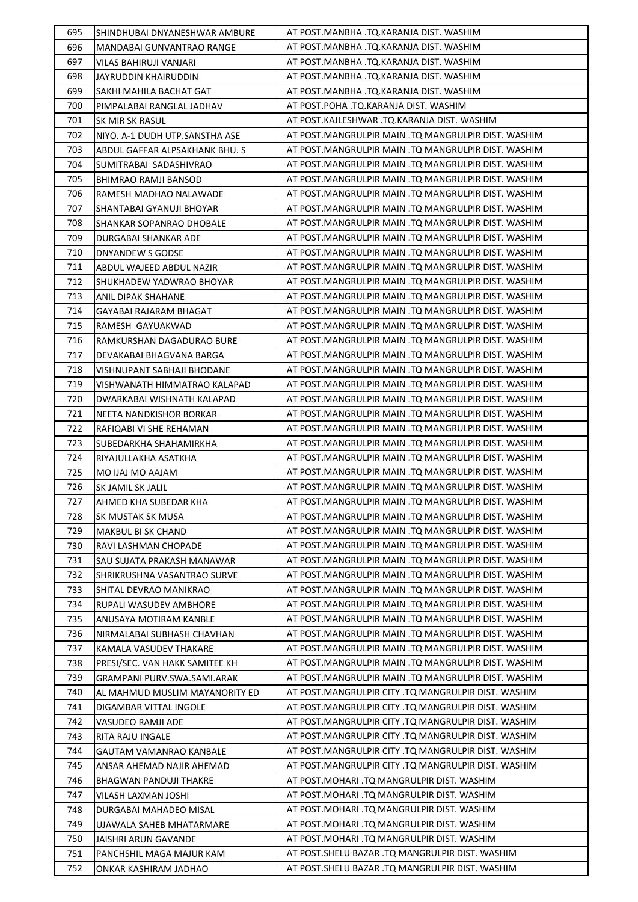| 695        | SHINDHUBAI DNYANESHWAR AMBURE                                 | AT POST.MANBHA .TQ.KARANJA DIST. WASHIM                                                  |
|------------|---------------------------------------------------------------|------------------------------------------------------------------------------------------|
| 696        | MANDABAI GUNVANTRAO RANGE                                     | AT POST.MANBHA .TQ.KARANJA DIST. WASHIM                                                  |
| 697        | VILAS BAHIRUJI VANJARI                                        | AT POST.MANBHA .TQ.KARANJA DIST. WASHIM                                                  |
| 698        | JAYRUDDIN KHAIRUDDIN                                          | AT POST.MANBHA .TQ.KARANJA DIST. WASHIM                                                  |
| 699        | SAKHI MAHILA BACHAT GAT                                       | AT POST.MANBHA .TQ.KARANJA DIST. WASHIM                                                  |
| 700        | PIMPALABAI RANGLAL JADHAV                                     | AT POST.POHA .TQ.KARANJA DIST. WASHIM                                                    |
| 701        | SK MIR SK RASUL                                               | AT POST.KAJLESHWAR .TQ.KARANJA DIST. WASHIM                                              |
| 702        | NIYO. A-1 DUDH UTP.SANSTHA ASE                                | AT POST.MANGRULPIR MAIN .TQ MANGRULPIR DIST. WASHIM                                      |
| 703        | ABDUL GAFFAR ALPSAKHANK BHU. S                                | AT POST.MANGRULPIR MAIN .TQ MANGRULPIR DIST. WASHIM                                      |
| 704        | SUMITRABAI SADASHIVRAO                                        | AT POST.MANGRULPIR MAIN .TQ MANGRULPIR DIST. WASHIM                                      |
| 705        | <b>BHIMRAO RAMJI BANSOD</b>                                   | AT POST.MANGRULPIR MAIN .TQ MANGRULPIR DIST. WASHIM                                      |
| 706        | RAMESH MADHAO NALAWADE                                        | AT POST.MANGRULPIR MAIN .TQ MANGRULPIR DIST. WASHIM                                      |
| 707        | SHANTABAI GYANUJI BHOYAR                                      | AT POST.MANGRULPIR MAIN .TQ MANGRULPIR DIST. WASHIM                                      |
| 708        | SHANKAR SOPANRAO DHOBALE                                      | AT POST.MANGRULPIR MAIN .TQ MANGRULPIR DIST. WASHIM                                      |
| 709        | DURGABAI SHANKAR ADE                                          | AT POST.MANGRULPIR MAIN .TQ MANGRULPIR DIST. WASHIM                                      |
| 710        | DNYANDEW S GODSE                                              | AT POST.MANGRULPIR MAIN .TQ MANGRULPIR DIST. WASHIM                                      |
| 711        | ABDUL WAJEED ABDUL NAZIR                                      | AT POST.MANGRULPIR MAIN .TQ MANGRULPIR DIST. WASHIM                                      |
| 712        | SHUKHADEW YADWRAO BHOYAR                                      | AT POST.MANGRULPIR MAIN .TQ MANGRULPIR DIST. WASHIM                                      |
| 713        | ANIL DIPAK SHAHANE                                            | AT POST.MANGRULPIR MAIN .TQ MANGRULPIR DIST. WASHIM                                      |
| 714        | GAYABAI RAJARAM BHAGAT                                        | AT POST.MANGRULPIR MAIN .TQ MANGRULPIR DIST. WASHIM                                      |
| 715        | RAMESH GAYUAKWAD                                              | AT POST.MANGRULPIR MAIN .TQ MANGRULPIR DIST. WASHIM                                      |
| 716        | RAMKURSHAN DAGADURAO BURE                                     | AT POST.MANGRULPIR MAIN .TQ MANGRULPIR DIST. WASHIM                                      |
| 717        | DEVAKABAI BHAGVANA BARGA                                      | AT POST.MANGRULPIR MAIN .TQ MANGRULPIR DIST. WASHIM                                      |
| 718        | VISHNUPANT SABHAJI BHODANE                                    | AT POST.MANGRULPIR MAIN .TQ MANGRULPIR DIST. WASHIM                                      |
| 719        | VISHWANATH HIMMATRAO KALAPAD                                  | AT POST.MANGRULPIR MAIN .TQ MANGRULPIR DIST. WASHIM                                      |
| 720        | DWARKABAI WISHNATH KALAPAD                                    | AT POST.MANGRULPIR MAIN .TQ MANGRULPIR DIST. WASHIM                                      |
| 721        | NEETA NANDKISHOR BORKAR                                       | AT POST.MANGRULPIR MAIN .TQ MANGRULPIR DIST. WASHIM                                      |
| 722        | RAFIQABI VI SHE REHAMAN                                       | AT POST.MANGRULPIR MAIN .TQ MANGRULPIR DIST. WASHIM                                      |
| 723        | SUBEDARKHA SHAHAMIRKHA                                        | AT POST.MANGRULPIR MAIN .TQ MANGRULPIR DIST. WASHIM                                      |
| 724        | RIYAJULLAKHA ASATKHA                                          | AT POST.MANGRULPIR MAIN .TQ MANGRULPIR DIST. WASHIM                                      |
| 725        | MO IJAJ MO AAJAM                                              | AT POST.MANGRULPIR MAIN .TQ MANGRULPIR DIST. WASHIM                                      |
| 726        | SK JAMIL SK JALIL                                             | AT POST.MANGRULPIR MAIN .TQ MANGRULPIR DIST. WASHIM                                      |
| 727        | AHMED KHA SUBEDAR KHA                                         | AT POST.MANGRULPIR MAIN .TQ MANGRULPIR DIST. WASHIM                                      |
| 728        | SK MUSTAK SK MUSA                                             | AT POST.MANGRULPIR MAIN .TQ MANGRULPIR DIST. WASHIM                                      |
| 729        | MAKBUL BI SK CHAND                                            | AT POST.MANGRULPIR MAIN .TQ MANGRULPIR DIST. WASHIM                                      |
| 730        | RAVI LASHMAN CHOPADE                                          | AT POST.MANGRULPIR MAIN .TQ MANGRULPIR DIST. WASHIM                                      |
| 731        | SAU SUJATA PRAKASH MANAWAR                                    | AT POST.MANGRULPIR MAIN .TQ MANGRULPIR DIST. WASHIM                                      |
| 732        | SHRIKRUSHNA VASANTRAO SURVE                                   | AT POST.MANGRULPIR MAIN .TQ MANGRULPIR DIST. WASHIM                                      |
| 733        | SHITAL DEVRAO MANIKRAO                                        | AT POST.MANGRULPIR MAIN .TQ MANGRULPIR DIST. WASHIM                                      |
| 734        |                                                               | AT POST.MANGRULPIR MAIN .TQ MANGRULPIR DIST. WASHIM                                      |
| 735        | RUPALI WASUDEV AMBHORE                                        | AT POST.MANGRULPIR MAIN .TQ MANGRULPIR DIST. WASHIM                                      |
| 736        | ANUSAYA MOTIRAM KANBLE                                        | AT POST.MANGRULPIR MAIN .TQ MANGRULPIR DIST. WASHIM                                      |
| 737        | NIRMALABAI SUBHASH CHAVHAN<br>KAMALA VASUDEV THAKARE          | AT POST.MANGRULPIR MAIN .TQ MANGRULPIR DIST. WASHIM                                      |
| 738        |                                                               | AT POST.MANGRULPIR MAIN .TQ MANGRULPIR DIST. WASHIM                                      |
| 739        | PRESI/SEC. VAN HAKK SAMITEE KH<br>GRAMPANI PURV.SWA.SAMI.ARAK | AT POST.MANGRULPIR MAIN .TQ MANGRULPIR DIST. WASHIM                                      |
| 740        |                                                               | AT POST.MANGRULPIR CITY .TQ MANGRULPIR DIST. WASHIM                                      |
| 741        | AL MAHMUD MUSLIM MAYANORITY ED<br>DIGAMBAR VITTAL INGOLE      | AT POST.MANGRULPIR CITY .TQ MANGRULPIR DIST. WASHIM                                      |
| 742        | VASUDEO RAMJI ADE                                             | AT POST.MANGRULPIR CITY .TQ MANGRULPIR DIST. WASHIM                                      |
| 743        |                                                               | AT POST.MANGRULPIR CITY .TQ MANGRULPIR DIST. WASHIM                                      |
| 744        | RITA RAJU INGALE<br>GAUTAM VAMANRAO KANBALE                   | AT POST.MANGRULPIR CITY .TQ MANGRULPIR DIST. WASHIM                                      |
| 745        |                                                               | AT POST.MANGRULPIR CITY .TQ MANGRULPIR DIST. WASHIM                                      |
|            | ANSAR AHEMAD NAJIR AHEMAD                                     | AT POST.MOHARI .TQ MANGRULPIR DIST. WASHIM                                               |
| 746<br>747 | <b>BHAGWAN PANDUJI THAKRE</b>                                 | AT POST.MOHARI .TQ MANGRULPIR DIST. WASHIM                                               |
|            | VILASH LAXMAN JOSHI                                           | AT POST.MOHARI .TQ MANGRULPIR DIST. WASHIM                                               |
| 748        | DURGABAI MAHADEO MISAL                                        |                                                                                          |
| 749<br>750 | UJAWALA SAHEB MHATARMARE                                      | AT POST.MOHARI .TQ MANGRULPIR DIST. WASHIM<br>AT POST.MOHARI .TQ MANGRULPIR DIST. WASHIM |
|            | JAISHRI ARUN GAVANDE                                          |                                                                                          |
| 751        | PANCHSHIL MAGA MAJUR KAM                                      | AT POST. SHELU BAZAR .TQ MANGRULPIR DIST. WASHIM                                         |
| 752        | ONKAR KASHIRAM JADHAO                                         | AT POST. SHELU BAZAR .TQ MANGRULPIR DIST. WASHIM                                         |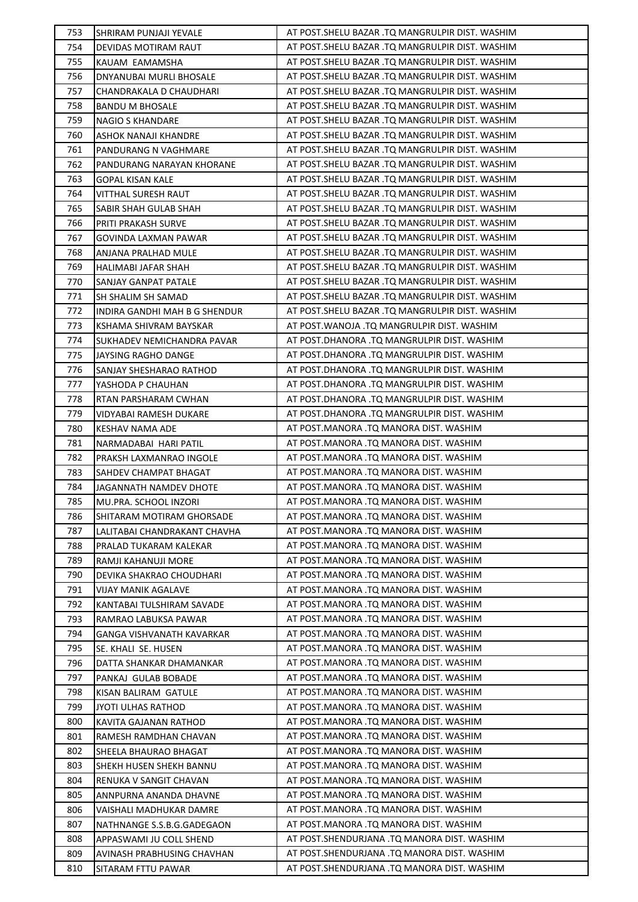| 753        | SHRIRAM PUNJAJI YEVALE                           | AT POST. SHELU BAZAR .TQ MANGRULPIR DIST. WASHIM                                 |
|------------|--------------------------------------------------|----------------------------------------------------------------------------------|
| 754        | DEVIDAS MOTIRAM RAUT                             | AT POST.SHELU BAZAR .TQ MANGRULPIR DIST. WASHIM                                  |
| 755        | KAUAM EAMAMSHA                                   | AT POST.SHELU BAZAR .TQ MANGRULPIR DIST. WASHIM                                  |
| 756        | DNYANUBAI MURLI BHOSALE                          | AT POST.SHELU BAZAR .TQ MANGRULPIR DIST. WASHIM                                  |
| 757        | CHANDRAKALA D CHAUDHARI                          | AT POST.SHELU BAZAR .TQ MANGRULPIR DIST. WASHIM                                  |
| 758        | <b>BANDU M BHOSALE</b>                           | AT POST.SHELU BAZAR .TQ MANGRULPIR DIST. WASHIM                                  |
| 759        | NAGIO S KHANDARE                                 | AT POST.SHELU BAZAR .TQ MANGRULPIR DIST. WASHIM                                  |
| 760        | ASHOK NANAJI KHANDRE                             | AT POST. SHELU BAZAR .TQ MANGRULPIR DIST. WASHIM                                 |
| 761        | PANDURANG N VAGHMARE                             | AT POST. SHELU BAZAR .TQ MANGRULPIR DIST. WASHIM                                 |
| 762        | PANDURANG NARAYAN KHORANE                        | AT POST. SHELU BAZAR .TQ MANGRULPIR DIST. WASHIM                                 |
| 763        | <b>GOPAL KISAN KALE</b>                          | AT POST. SHELU BAZAR .TQ MANGRULPIR DIST. WASHIM                                 |
| 764        | VITTHAL SURESH RAUT                              | AT POST. SHELU BAZAR .TQ MANGRULPIR DIST. WASHIM                                 |
| 765        | SABIR SHAH GULAB SHAH                            | AT POST. SHELU BAZAR .TQ MANGRULPIR DIST. WASHIM                                 |
| 766        | PRITI PRAKASH SURVE                              | AT POST. SHELU BAZAR .TQ MANGRULPIR DIST. WASHIM                                 |
| 767        | GOVINDA LAXMAN PAWAR                             | AT POST. SHELU BAZAR .TQ MANGRULPIR DIST. WASHIM                                 |
| 768        | ANJANA PRALHAD MULE                              | AT POST. SHELU BAZAR .TQ MANGRULPIR DIST. WASHIM                                 |
| 769        | HALIMABI JAFAR SHAH                              | AT POST. SHELU BAZAR .TQ MANGRULPIR DIST. WASHIM                                 |
| 770        | SANJAY GANPAT PATALE                             | AT POST.SHELU BAZAR .TQ MANGRULPIR DIST. WASHIM                                  |
| 771        | SH SHALIM SH SAMAD                               | AT POST. SHELU BAZAR .TQ MANGRULPIR DIST. WASHIM                                 |
| 772        | INDIRA GANDHI MAH B G SHENDUR                    | AT POST. SHELU BAZAR .TQ MANGRULPIR DIST. WASHIM                                 |
| 773        | KSHAMA SHIVRAM BAYSKAR                           | AT POST.WANOJA .TQ MANGRULPIR DIST. WASHIM                                       |
| 774        | SUKHADEV NEMICHANDRA PAVAR                       | AT POST.DHANORA .TQ MANGRULPIR DIST. WASHIM                                      |
| 775        | JAYSING RAGHO DANGE                              | AT POST.DHANORA .TQ MANGRULPIR DIST. WASHIM                                      |
| 776        | SANJAY SHESHARAO RATHOD                          | AT POST.DHANORA .TQ MANGRULPIR DIST. WASHIM                                      |
| 777        | YASHODA P CHAUHAN                                | AT POST.DHANORA .TQ MANGRULPIR DIST. WASHIM                                      |
| 778        | RTAN PARSHARAM CWHAN                             | AT POST.DHANORA .TQ MANGRULPIR DIST. WASHIM                                      |
| 779        | VIDYABAI RAMESH DUKARE                           | AT POST.DHANORA .TQ MANGRULPIR DIST. WASHIM                                      |
| 780        | KESHAV NAMA ADE                                  | AT POST.MANORA .TQ MANORA DIST. WASHIM                                           |
| 781        | NARMADABAI HARI PATIL                            | AT POST.MANORA .TQ MANORA DIST. WASHIM                                           |
| 782        | PRAKSH LAXMANRAO INGOLE                          | AT POST.MANORA .TQ MANORA DIST. WASHIM                                           |
| 783        | SAHDEV CHAMPAT BHAGAT                            | AT POST.MANORA .TQ MANORA DIST. WASHIM                                           |
| 784        | JAGANNATH NAMDEV DHOTE                           | AT POST.MANORA .TQ MANORA DIST. WASHIM                                           |
| 785        | MU.PRA. SCHOOL INZORI                            | AT POST.MANORA .TO MANORA DIST. WASHIM                                           |
| 786        | SHITARAM MOTIRAM GHORSADE                        | AT POST.MANORA .TQ MANORA DIST. WASHIM                                           |
| 787        | LALITABAI CHANDRAKANT CHAVHA                     | AT POST.MANORA .TQ MANORA DIST. WASHIM                                           |
| 788        | PRALAD TUKARAM KALEKAR                           | AT POST.MANORA .TQ MANORA DIST. WASHIM                                           |
| 789        | RAMJI KAHANUJI MORE                              | AT POST.MANORA .TQ MANORA DIST. WASHIM                                           |
| 790        | DEVIKA SHAKRAO CHOUDHARI                         | AT POST.MANORA .TQ MANORA DIST. WASHIM                                           |
| 791        | VIJAY MANIK AGALAVE                              | AT POST.MANORA .TQ MANORA DIST. WASHIM                                           |
| 792        |                                                  | AT POST.MANORA .TQ MANORA DIST. WASHIM                                           |
| 793        | KANTABAI TULSHIRAM SAVADE                        | AT POST.MANORA .TQ MANORA DIST. WASHIM                                           |
| 794        | RAMRAO LABUKSA PAWAR                             | AT POST.MANORA .TQ MANORA DIST. WASHIM                                           |
| 795        | GANGA VISHVANATH KAVARKAR<br>SE. KHALI SE. HUSEN | AT POST.MANORA .TQ MANORA DIST. WASHIM                                           |
| 796        |                                                  | AT POST.MANORA .TQ MANORA DIST. WASHIM                                           |
| 797        | DATTA SHANKAR DHAMANKAR                          | AT POST.MANORA .TQ MANORA DIST. WASHIM                                           |
|            | PANKAJ GULAB BOBADE                              | AT POST.MANORA .TQ MANORA DIST. WASHIM                                           |
| 798<br>799 | KISAN BALIRAM GATULE                             | AT POST.MANORA .TQ MANORA DIST. WASHIM                                           |
|            | JYOTI ULHAS RATHOD                               |                                                                                  |
| 800<br>801 | KAVITA GAJANAN RATHOD                            | AT POST.MANORA .TQ MANORA DIST. WASHIM<br>AT POST.MANORA .TQ MANORA DIST. WASHIM |
| 802        | RAMESH RAMDHAN CHAVAN<br>SHEELA BHAURAO BHAGAT   | AT POST.MANORA .TQ MANORA DIST. WASHIM                                           |
|            |                                                  |                                                                                  |
| 803        | SHEKH HUSEN SHEKH BANNU                          | AT POST.MANORA .TQ MANORA DIST. WASHIM                                           |
| 804        | RENUKA V SANGIT CHAVAN                           | AT POST.MANORA .TQ MANORA DIST. WASHIM                                           |
| 805        | ANNPURNA ANANDA DHAVNE                           | AT POST.MANORA .TQ MANORA DIST. WASHIM<br>AT POST.MANORA .TQ MANORA DIST. WASHIM |
| 806        | VAISHALI MADHUKAR DAMRE                          |                                                                                  |
| 807        | NATHNANGE S.S.B.G.GADEGAON                       | AT POST.MANORA .TQ MANORA DIST. WASHIM                                           |
| 808        | APPASWAMI JU COLL SHEND                          | AT POST.SHENDURJANA .TQ MANORA DIST. WASHIM                                      |
| 809        | AVINASH PRABHUSING CHAVHAN                       | AT POST.SHENDURJANA .TQ MANORA DIST. WASHIM                                      |
| 810        | SITARAM FTTU PAWAR                               | AT POST.SHENDURJANA .TQ MANORA DIST. WASHIM                                      |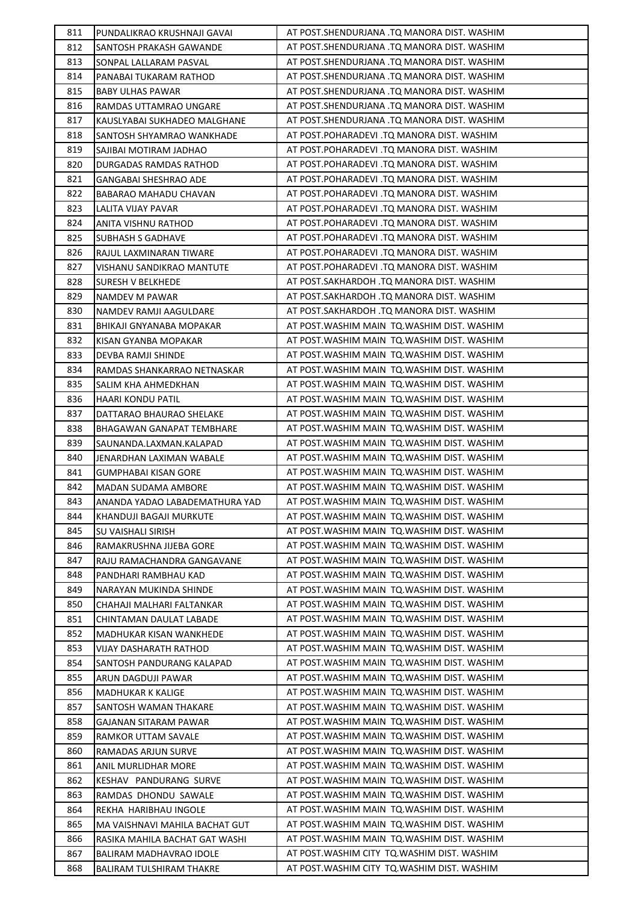| 811        | PUNDALIKRAO KRUSHNAJI GAVAI                | AT POST.SHENDURJANA .TQ MANORA DIST. WASHIM                                                |
|------------|--------------------------------------------|--------------------------------------------------------------------------------------------|
| 812        | SANTOSH PRAKASH GAWANDE                    | AT POST.SHENDURJANA .TQ MANORA DIST. WASHIM                                                |
| 813        | SONPAL LALLARAM PASVAL                     | AT POST.SHENDURJANA .TQ MANORA DIST. WASHIM                                                |
| 814        | PANABAI TUKARAM RATHOD                     | AT POST.SHENDURJANA .TQ MANORA DIST. WASHIM                                                |
| 815        | <b>BABY ULHAS PAWAR</b>                    | AT POST.SHENDURJANA .TQ MANORA DIST. WASHIM                                                |
| 816        | RAMDAS UTTAMRAO UNGARE                     | AT POST.SHENDURJANA .TQ MANORA DIST. WASHIM                                                |
| 817        | KAUSLYABAI SUKHADEO MALGHANE               | AT POST.SHENDURJANA .TQ MANORA DIST. WASHIM                                                |
| 818        | SANTOSH SHYAMRAO WANKHADE                  | AT POST.POHARADEVI .TQ MANORA DIST. WASHIM                                                 |
| 819        | SAJIBAI MOTIRAM JADHAO                     | AT POST.POHARADEVI .TQ MANORA DIST. WASHIM                                                 |
| 820        | DURGADAS RAMDAS RATHOD                     | AT POST.POHARADEVI .TQ MANORA DIST. WASHIM                                                 |
| 821        | GANGABAI SHESHRAO ADE                      | AT POST.POHARADEVI .TQ MANORA DIST. WASHIM                                                 |
| 822        | BABARAO MAHADU CHAVAN                      | AT POST.POHARADEVI .TQ MANORA DIST. WASHIM                                                 |
| 823        | LALITA VIJAY PAVAR                         | AT POST.POHARADEVI .TQ MANORA DIST. WASHIM                                                 |
| 824        | ANITA VISHNU RATHOD                        | AT POST.POHARADEVI .TQ MANORA DIST. WASHIM                                                 |
| 825        | SUBHASH S GADHAVE                          | AT POST.POHARADEVI .TQ MANORA DIST. WASHIM                                                 |
| 826        | RAJUL LAXMINARAN TIWARE                    | AT POST.POHARADEVI .TQ MANORA DIST. WASHIM                                                 |
| 827        | VISHANU SANDIKRAO MANTUTE                  | AT POST.POHARADEVI .TQ MANORA DIST. WASHIM                                                 |
| 828        | SURESH V BELKHEDE                          | AT POST.SAKHARDOH .TQ MANORA DIST. WASHIM                                                  |
| 829        | NAMDEV M PAWAR                             | AT POST.SAKHARDOH .TQ MANORA DIST. WASHIM                                                  |
| 830        | NAMDEV RAMJI AAGULDARE                     | AT POST.SAKHARDOH .TQ MANORA DIST. WASHIM                                                  |
| 831        | BHIKAJI GNYANABA MOPAKAR                   | AT POST. WASHIM MAIN TO. WASHIM DIST. WASHIM                                               |
| 832        | KISAN GYANBA MOPAKAR                       | AT POST. WASHIM MAIN TO. WASHIM DIST. WASHIM                                               |
| 833        | DEVBA RAMJI SHINDE                         | AT POST. WASHIM MAIN TQ. WASHIM DIST. WASHIM                                               |
| 834        | RAMDAS SHANKARRAO NETNASKAR                | AT POST. WASHIM MAIN TQ. WASHIM DIST. WASHIM                                               |
| 835        | SALIM KHA AHMEDKHAN                        | AT POST. WASHIM MAIN TO. WASHIM DIST. WASHIM                                               |
| 836        | HAARI KONDU PATIL                          | AT POST.WASHIM MAIN TQ.WASHIM DIST. WASHIM                                                 |
| 837        | DATTARAO BHAURAO SHELAKE                   | AT POST. WASHIM MAIN TQ. WASHIM DIST. WASHIM                                               |
| 838        | BHAGAWAN GANAPAT TEMBHARE                  | AT POST. WASHIM MAIN TO. WASHIM DIST. WASHIM                                               |
| 839        | SAUNANDA.LAXMAN.KALAPAD                    | AT POST. WASHIM MAIN TQ. WASHIM DIST. WASHIM                                               |
| 840        | JENARDHAN LAXIMAN WABALE                   | AT POST. WASHIM MAIN TQ. WASHIM DIST. WASHIM                                               |
| 841        | GUMPHABAI KISAN GORE                       | AT POST. WASHIM MAIN TQ. WASHIM DIST. WASHIM                                               |
|            |                                            |                                                                                            |
| 842        | MADAN SUDAMA AMBORE                        | AT POST. WASHIM MAIN TO. WASHIM DIST. WASHIM                                               |
| 843        | ANANDA YADAO LABADEMATHURA YAD             | AT POST. WASHIM MAIN TQ. WASHIM DIST. WASHIM                                               |
| 844        | KHANDUJI BAGAJI MURKUTE                    | AT POST. WASHIM MAIN TQ. WASHIM DIST. WASHIM                                               |
| 845        | SU VAISHALI SIRISH                         | AT POST. WASHIM MAIN TQ. WASHIM DIST. WASHIM                                               |
| 846        | RAMAKRUSHNA JIJEBA GORE                    | AT POST. WASHIM MAIN TO. WASHIM DIST. WASHIM                                               |
| 847        | RAJU RAMACHANDRA GANGAVANE                 | AT POST. WASHIM MAIN TO. WASHIM DIST. WASHIM                                               |
| 848        | PANDHARI RAMBHAU KAD                       | AT POST. WASHIM MAIN TQ. WASHIM DIST. WASHIM                                               |
| 849        | NARAYAN MUKINDA SHINDE                     | AT POST.WASHIM MAIN TQ.WASHIM DIST. WASHIM                                                 |
| 850        | CHAHAJI MALHARI FALTANKAR                  | AT POST. WASHIM MAIN TQ. WASHIM DIST. WASHIM                                               |
| 851        | CHINTAMAN DAULAT LABADE                    | AT POST. WASHIM MAIN TQ. WASHIM DIST. WASHIM                                               |
| 852        | MADHUKAR KISAN WANKHEDE                    | AT POST. WASHIM MAIN TO. WASHIM DIST. WASHIM                                               |
| 853        | VIJAY DASHARATH RATHOD                     | AT POST. WASHIM MAIN TQ. WASHIM DIST. WASHIM                                               |
| 854        | SANTOSH PANDURANG KALAPAD                  | AT POST. WASHIM MAIN TQ. WASHIM DIST. WASHIM                                               |
| 855        | ARUN DAGDUJI PAWAR                         | AT POST. WASHIM MAIN TQ. WASHIM DIST. WASHIM                                               |
| 856        | MADHUKAR K KALIGE                          | AT POST.WASHIM MAIN TQ.WASHIM DIST. WASHIM<br>AT POST.WASHIM MAIN TQ.WASHIM DIST. WASHIM   |
| 857        | SANTOSH WAMAN THAKARE                      |                                                                                            |
| 858        | GAJANAN SITARAM PAWAR                      | AT POST. WASHIM MAIN TQ. WASHIM DIST. WASHIM                                               |
| 859        | RAMKOR UTTAM SAVALE                        | AT POST. WASHIM MAIN TQ. WASHIM DIST. WASHIM<br>AT POST.WASHIM MAIN TQ.WASHIM DIST. WASHIM |
| 860<br>861 | RAMADAS ARJUN SURVE<br>ANIL MURLIDHAR MORE | AT POST.WASHIM MAIN TQ.WASHIM DIST. WASHIM                                                 |
| 862        | KESHAV PANDURANG SURVE                     | AT POST. WASHIM MAIN TQ. WASHIM DIST. WASHIM                                               |
| 863        | RAMDAS DHONDU SAWALE                       | AT POST.WASHIM MAIN TQ.WASHIM DIST. WASHIM                                                 |
| 864        | REKHA HARIBHAU INGOLE                      | AT POST.WASHIM MAIN TQ.WASHIM DIST. WASHIM                                                 |
| 865        | MA VAISHNAVI MAHILA BACHAT GUT             | AT POST.WASHIM MAIN TQ.WASHIM DIST. WASHIM                                                 |
| 866        | RASIKA MAHILA BACHAT GAT WASHI             | AT POST. WASHIM MAIN TQ. WASHIM DIST. WASHIM                                               |
| 867        | BALIRAM MADHAVRAO IDOLE                    | AT POST. WASHIM CITY TO. WASHIM DIST. WASHIM                                               |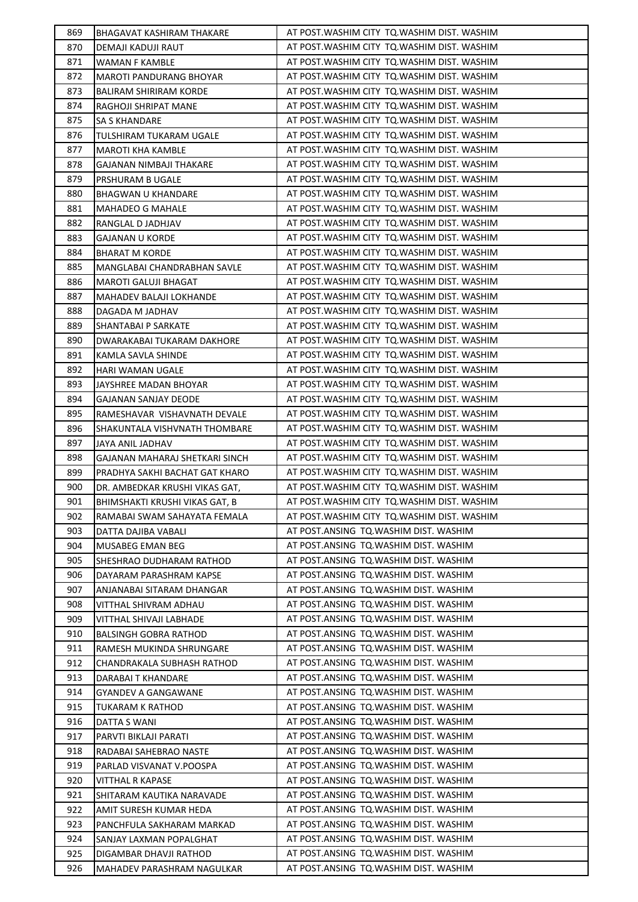| 869        | BHAGAVAT KASHIRAM THAKARE                            | AT POST.WASHIM CITY  TQ.WASHIM DIST. WASHIM                                    |
|------------|------------------------------------------------------|--------------------------------------------------------------------------------|
| 870        | DEMAJI KADUJI RAUT                                   | AT POST. WASHIM CITY TO. WASHIM DIST. WASHIM                                   |
| 871        | WAMAN F KAMBLE                                       | AT POST. WASHIM CITY TO. WASHIM DIST. WASHIM                                   |
| 872        | MAROTI PANDURANG BHOYAR                              | AT POST. WASHIM CITY TO. WASHIM DIST. WASHIM                                   |
| 873        | <b>BALIRAM SHIRIRAM KORDE</b>                        | AT POST. WASHIM CITY TO. WASHIM DIST. WASHIM                                   |
| 874        | RAGHOJI SHRIPAT MANE                                 | AT POST. WASHIM CITY TO. WASHIM DIST. WASHIM                                   |
| 875        | SA S KHANDARE                                        | AT POST. WASHIM CITY TO. WASHIM DIST. WASHIM                                   |
| 876        | TULSHIRAM TUKARAM UGALE                              | AT POST. WASHIM CITY TO. WASHIM DIST. WASHIM                                   |
| 877        | <b>MAROTI KHA KAMBLE</b>                             | AT POST. WASHIM CITY TO. WASHIM DIST. WASHIM                                   |
| 878        | GAJANAN NIMBAJI THAKARE                              | AT POST. WASHIM CITY TQ. WASHIM DIST. WASHIM                                   |
| 879        | PRSHURAM B UGALE                                     | AT POST. WASHIM CITY TO. WASHIM DIST. WASHIM                                   |
| 880        | BHAGWAN U KHANDARE                                   | AT POST. WASHIM CITY TO. WASHIM DIST. WASHIM                                   |
| 881        | MAHADEO G MAHALE                                     | AT POST. WASHIM CITY TO. WASHIM DIST. WASHIM                                   |
| 882        | RANGLAL D JADHJAV                                    | AT POST. WASHIM CITY TO. WASHIM DIST. WASHIM                                   |
| 883        | GAJANAN U KORDE                                      | AT POST. WASHIM CITY TO. WASHIM DIST. WASHIM                                   |
| 884        | <b>BHARAT M KORDE</b>                                | AT POST. WASHIM CITY TO. WASHIM DIST. WASHIM                                   |
| 885        | MANGLABAI CHANDRABHAN SAVLE                          | AT POST. WASHIM CITY TO. WASHIM DIST. WASHIM                                   |
| 886        | MAROTI GALUJI BHAGAT                                 | AT POST.WASHIM CITY TQ.WASHIM DIST. WASHIM                                     |
| 887        | MAHADEV BALAJI LOKHANDE                              | AT POST.WASHIM CITY TQ.WASHIM DIST. WASHIM                                     |
| 888        | DAGADA M JADHAV                                      | AT POST.WASHIM CITY TQ.WASHIM DIST. WASHIM                                     |
| 889        | SHANTABAI P SARKATE                                  | AT POST. WASHIM CITY TO. WASHIM DIST. WASHIM                                   |
| 890        | DWARAKABAI TUKARAM DAKHORE                           | AT POST. WASHIM CITY TO. WASHIM DIST. WASHIM                                   |
| 891        | KAMLA SAVLA SHINDE                                   | AT POST. WASHIM CITY TQ. WASHIM DIST. WASHIM                                   |
| 892        | HARI WAMAN UGALE                                     | AT POST. WASHIM CITY TQ. WASHIM DIST. WASHIM                                   |
| 893        | JAYSHREE MADAN BHOYAR                                | AT POST. WASHIM CITY TO. WASHIM DIST. WASHIM                                   |
| 894        | GAJANAN SANJAY DEODE                                 | AT POST. WASHIM CITY TO. WASHIM DIST. WASHIM                                   |
| 895        | RAMESHAVAR VISHAVNATH DEVALE                         | AT POST. WASHIM CITY TO. WASHIM DIST. WASHIM                                   |
| 896        | SHAKUNTALA VISHVNATH THOMBARE                        | AT POST. WASHIM CITY TO. WASHIM DIST. WASHIM                                   |
| 897        | JAYA ANIL JADHAV                                     | AT POST.WASHIM CITY TQ.WASHIM DIST. WASHIM                                     |
| 898        | GAJANAN MAHARAJ SHETKARI SINCH                       | AT POST. WASHIM CITY TO. WASHIM DIST. WASHIM                                   |
| 899        | PRADHYA SAKHI BACHAT GAT KHARO                       | AT POST. WASHIM CITY TO. WASHIM DIST. WASHIM                                   |
| 900        | DR. AMBEDKAR KRUSHI VIKAS GAT,                       | AT POST. WASHIM CITY TO. WASHIM DIST. WASHIM                                   |
| 901        |                                                      |                                                                                |
|            | BHIMSHAKTI KRUSHI VIKAS GAT, B                       | AT POST. WASHIM CITY TQ. WASHIM DIST. WASHIM                                   |
| 902        | RAMABAI SWAM SAHAYATA FEMALA                         | AT POST. WASHIM CITY TO. WASHIM DIST. WASHIM                                   |
| 903        | DATTA DAJIBA VABALI                                  | AT POST.ANSING TO.WASHIM DIST. WASHIM                                          |
| 904        | MUSABEG EMAN BEG                                     | AT POST.ANSING TQ.WASHIM DIST. WASHIM                                          |
| 905        | SHESHRAO DUDHARAM RATHOD                             | AT POST.ANSING TO.WASHIM DIST. WASHIM                                          |
| 906        | DAYARAM PARASHRAM KAPSE                              | AT POST.ANSING TQ.WASHIM DIST. WASHIM                                          |
| 907        | ANJANABAI SITARAM DHANGAR                            | AT POST.ANSING TQ.WASHIM DIST. WASHIM                                          |
| 908        | VITTHAL SHIVRAM ADHAU                                | AT POST.ANSING TQ.WASHIM DIST. WASHIM                                          |
| 909        | VITTHAL SHIVAJI LABHADE                              | AT POST.ANSING TQ.WASHIM DIST. WASHIM                                          |
| 910        | BALSINGH GOBRA RATHOD                                | AT POST.ANSING TQ.WASHIM DIST. WASHIM                                          |
| 911        | RAMESH MUKINDA SHRUNGARE                             | AT POST.ANSING TQ.WASHIM DIST. WASHIM                                          |
| 912        | CHANDRAKALA SUBHASH RATHOD                           | AT POST.ANSING TQ.WASHIM DIST. WASHIM                                          |
| 913        | DARABAI T KHANDARE                                   | AT POST.ANSING TQ.WASHIM DIST. WASHIM                                          |
| 914        | GYANDEV A GANGAWANE                                  | AT POST.ANSING TQ.WASHIM DIST. WASHIM                                          |
| 915        | TUKARAM K RATHOD                                     | AT POST.ANSING TQ.WASHIM DIST. WASHIM                                          |
| 916        | DATTA S WANI                                         | AT POST.ANSING TQ.WASHIM DIST. WASHIM                                          |
| 917        | PARVTI BIKLAJI PARATI                                | AT POST.ANSING TQ.WASHIM DIST. WASHIM                                          |
| 918        | RADABAI SAHEBRAO NASTE                               | AT POST.ANSING TQ.WASHIM DIST. WASHIM                                          |
| 919        | PARLAD VISVANAT V.POOSPA                             | AT POST.ANSING TQ.WASHIM DIST. WASHIM                                          |
| 920        | VITTHAL R KAPASE                                     | AT POST.ANSING TQ.WASHIM DIST. WASHIM                                          |
| 921        | SHITARAM KAUTIKA NARAVADE                            | AT POST.ANSING TQ.WASHIM DIST. WASHIM                                          |
| 922        | AMIT SURESH KUMAR HEDA                               | AT POST.ANSING TQ.WASHIM DIST. WASHIM                                          |
| 923        | PANCHFULA SAKHARAM MARKAD                            | AT POST.ANSING TQ.WASHIM DIST. WASHIM                                          |
| 924        | SANJAY LAXMAN POPALGHAT                              | AT POST.ANSING TQ.WASHIM DIST. WASHIM                                          |
| 925<br>926 | DIGAMBAR DHAVJI RATHOD<br>MAHADEV PARASHRAM NAGULKAR | AT POST.ANSING TQ.WASHIM DIST. WASHIM<br>AT POST.ANSING TQ.WASHIM DIST. WASHIM |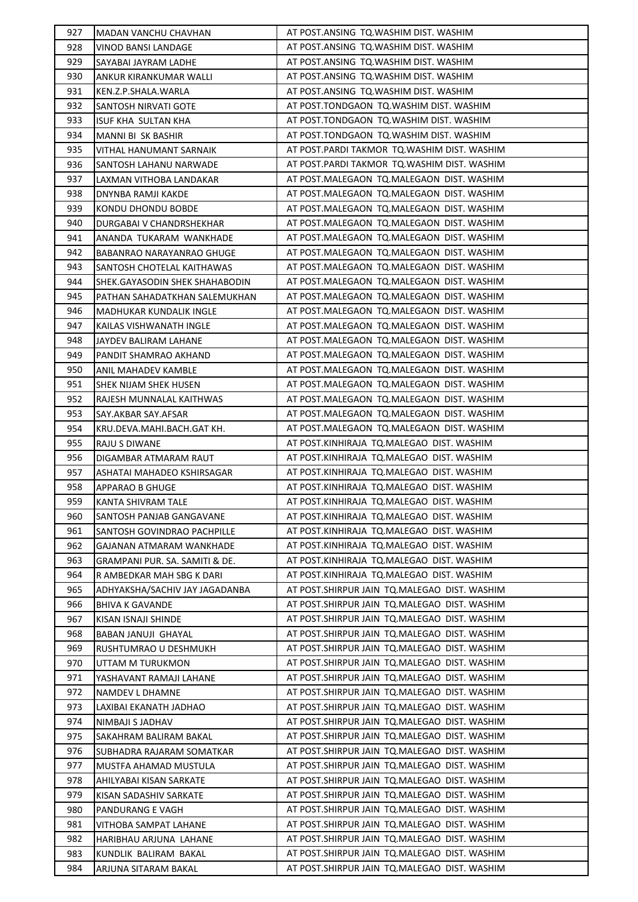| 927 | MADAN VANCHU CHAVHAN           | AT POST.ANSING TQ.WASHIM DIST. WASHIM        |
|-----|--------------------------------|----------------------------------------------|
| 928 | VINOD BANSI LANDAGE            | AT POST.ANSING TQ.WASHIM DIST. WASHIM        |
| 929 | SAYABAI JAYRAM LADHE           | AT POST.ANSING TQ.WASHIM DIST. WASHIM        |
| 930 | ANKUR KIRANKUMAR WALLI         | AT POST.ANSING TQ.WASHIM DIST. WASHIM        |
| 931 | KEN.Z.P.SHALA.WARLA            | AT POST.ANSING TQ.WASHIM DIST. WASHIM        |
| 932 | SANTOSH NIRVATI GOTE           | AT POST.TONDGAON TQ.WASHIM DIST. WASHIM      |
| 933 | ISUF KHA SULTAN KHA            | AT POST.TONDGAON TQ.WASHIM DIST. WASHIM      |
| 934 | MANNI BI SK BASHIR             | AT POST.TONDGAON TQ.WASHIM DIST. WASHIM      |
| 935 | VITHAL HANUMANT SARNAIK        | AT POST.PARDI TAKMOR TQ.WASHIM DIST. WASHIM  |
| 936 | SANTOSH LAHANU NARWADE         | AT POST.PARDI TAKMOR TQ.WASHIM DIST. WASHIM  |
| 937 | LAXMAN VITHOBA LANDAKAR        | AT POST.MALEGAON TQ.MALEGAON DIST. WASHIM    |
| 938 | DNYNBA RAMJI KAKDE             | AT POST.MALEGAON TQ.MALEGAON DIST. WASHIM    |
| 939 | KONDU DHONDU BOBDE             | AT POST.MALEGAON TQ.MALEGAON DIST. WASHIM    |
| 940 | DURGABAI V CHANDRSHEKHAR       | AT POST.MALEGAON TQ.MALEGAON DIST. WASHIM    |
| 941 | ANANDA TUKARAM WANKHADE        | AT POST.MALEGAON  TQ.MALEGAON  DIST. WASHIM  |
| 942 | BABANRAO NARAYANRAO GHUGE      | AT POST.MALEGAON  TQ.MALEGAON  DIST. WASHIM  |
| 943 | SANTOSH CHOTELAL KAITHAWAS     | AT POST.MALEGAON TQ.MALEGAON DIST. WASHIM    |
| 944 | SHEK.GAYASODIN SHEK SHAHABODIN | AT POST.MALEGAON  TQ.MALEGAON  DIST. WASHIM  |
| 945 | PATHAN SAHADATKHAN SALEMUKHAN  | AT POST.MALEGAON TQ.MALEGAON DIST. WASHIM    |
| 946 | MADHUKAR KUNDALIK INGLE        | AT POST.MALEGAON TQ.MALEGAON DIST. WASHIM    |
| 947 | KAILAS VISHWANATH INGLE        | AT POST.MALEGAON TQ.MALEGAON DIST. WASHIM    |
| 948 | JAYDEV BALIRAM LAHANE          | AT POST.MALEGAON TQ.MALEGAON DIST. WASHIM    |
| 949 | PANDIT SHAMRAO AKHAND          | AT POST.MALEGAON  TQ.MALEGAON  DIST. WASHIM  |
| 950 | ANIL MAHADEV KAMBLE            | AT POST.MALEGAON TQ.MALEGAON DIST. WASHIM    |
| 951 | SHEK NIJAM SHEK HUSEN          | AT POST.MALEGAON  TQ.MALEGAON  DIST. WASHIM  |
| 952 | RAJESH MUNNALAL KAITHWAS       | AT POST.MALEGAON  TQ.MALEGAON  DIST. WASHIM  |
| 953 | SAY.AKBAR SAY.AFSAR            | AT POST.MALEGAON TQ.MALEGAON DIST. WASHIM    |
| 954 | KRU.DEVA.MAHI.BACH.GAT KH.     | AT POST.MALEGAON TQ.MALEGAON DIST. WASHIM    |
| 955 | RAJU S DIWANE                  | AT POST.KINHIRAJA TQ.MALEGAO DIST. WASHIM    |
| 956 | DIGAMBAR ATMARAM RAUT          | AT POST.KINHIRAJA TQ.MALEGAO DIST. WASHIM    |
| 957 | ASHATAI MAHADEO KSHIRSAGAR     | AT POST.KINHIRAJA TQ.MALEGAO DIST. WASHIM    |
| 958 | APPARAO B GHUGE                | AT POST.KINHIRAJA TQ.MALEGAO DIST. WASHIM    |
| 959 | KANTA SHIVRAM TALE             | AT POST.KINHIRAJA TQ.MALEGAO DIST. WASHIM    |
| 960 | SANTOSH PANJAB GANGAVANE       | AT POST.KINHIRAJA TQ.MALEGAO DIST. WASHIM    |
| 961 | SANTOSH GOVINDRAO PACHPILLE    | AT POST.KINHIRAJA TO.MALEGAO DIST. WASHIM    |
| 962 | GAJANAN ATMARAM WANKHADE       | AT POST.KINHIRAJA TQ.MALEGAO DIST. WASHIM    |
| 963 | GRAMPANI PUR. SA. SAMITI & DE. | AT POST.KINHIRAJA TQ.MALEGAO DIST. WASHIM    |
| 964 | R AMBEDKAR MAH SBG K DARI      | AT POST.KINHIRAJA TQ.MALEGAO DIST. WASHIM    |
| 965 | ADHYAKSHA/SACHIV JAY JAGADANBA | AT POST.SHIRPUR JAIN TQ.MALEGAO DIST. WASHIM |
| 966 | BHIVA K GAVANDE                | AT POST.SHIRPUR JAIN TQ.MALEGAO DIST. WASHIM |
| 967 | KISAN ISNAJI SHINDE            | AT POST.SHIRPUR JAIN TQ.MALEGAO DIST. WASHIM |
| 968 | BABAN JANUJI GHAYAL            | AT POST.SHIRPUR JAIN TQ.MALEGAO DIST. WASHIM |
| 969 | RUSHTUMRAO U DESHMUKH          | AT POST.SHIRPUR JAIN TQ.MALEGAO DIST. WASHIM |
| 970 | UTTAM M TURUKMON               | AT POST.SHIRPUR JAIN TQ.MALEGAO DIST. WASHIM |
| 971 | YASHAVANT RAMAJI LAHANE        | AT POST.SHIRPUR JAIN TQ.MALEGAO DIST. WASHIM |
| 972 | NAMDEV L DHAMNE                | AT POST.SHIRPUR JAIN TQ.MALEGAO DIST. WASHIM |
| 973 | LAXIBAI EKANATH JADHAO         | AT POST.SHIRPUR JAIN TQ.MALEGAO DIST. WASHIM |
| 974 | NIMBAJI S JADHAV               | AT POST.SHIRPUR JAIN TQ.MALEGAO DIST. WASHIM |
| 975 | SAKAHRAM BALIRAM BAKAL         | AT POST.SHIRPUR JAIN TQ.MALEGAO DIST. WASHIM |
| 976 | SUBHADRA RAJARAM SOMATKAR      | AT POST.SHIRPUR JAIN TQ.MALEGAO DIST. WASHIM |
| 977 | MUSTFA AHAMAD MUSTULA          | AT POST.SHIRPUR JAIN TQ.MALEGAO DIST. WASHIM |
| 978 | AHILYABAI KISAN SARKATE        | AT POST.SHIRPUR JAIN TQ.MALEGAO DIST. WASHIM |
| 979 | KISAN SADASHIV SARKATE         | AT POST.SHIRPUR JAIN TQ.MALEGAO DIST. WASHIM |
| 980 | PANDURANG E VAGH               | AT POST.SHIRPUR JAIN TQ.MALEGAO DIST. WASHIM |
| 981 | VITHOBA SAMPAT LAHANE          | AT POST.SHIRPUR JAIN TQ.MALEGAO DIST. WASHIM |
| 982 | HARIBHAU ARJUNA LAHANE         | AT POST.SHIRPUR JAIN TQ.MALEGAO DIST. WASHIM |
| 983 | KUNDLIK BALIRAM BAKAL          | AT POST.SHIRPUR JAIN TQ.MALEGAO DIST. WASHIM |
| 984 | ARJUNA SITARAM BAKAL           | AT POST.SHIRPUR JAIN TQ.MALEGAO DIST. WASHIM |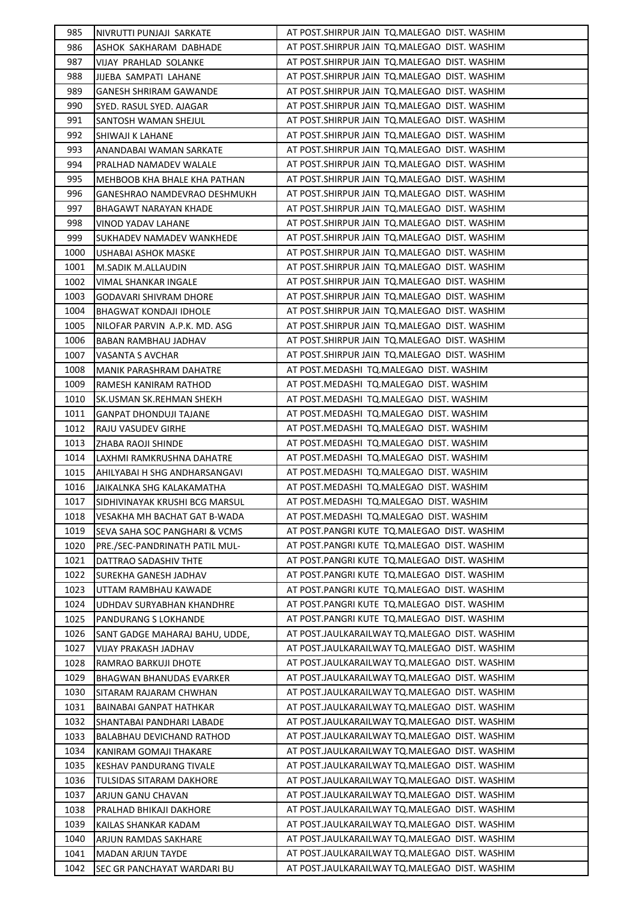| 985          | NIVRUTTI PUNJAJI SARKATE                               | AT POST.SHIRPUR JAIN TQ.MALEGAO DIST. WASHIM                                                 |
|--------------|--------------------------------------------------------|----------------------------------------------------------------------------------------------|
| 986          | ASHOK SAKHARAM DABHADE                                 | AT POST.SHIRPUR JAIN TQ.MALEGAO DIST. WASHIM                                                 |
| 987          | VIJAY PRAHLAD SOLANKE                                  | AT POST.SHIRPUR JAIN TQ.MALEGAO DIST. WASHIM                                                 |
| 988          | JIJEBA SAMPATI LAHANE                                  | AT POST.SHIRPUR JAIN TQ.MALEGAO DIST. WASHIM                                                 |
| 989          | <b>GANESH SHRIRAM GAWANDE</b>                          | AT POST.SHIRPUR JAIN TQ.MALEGAO DIST. WASHIM                                                 |
| 990          | SYED. RASUL SYED. AJAGAR                               | AT POST.SHIRPUR JAIN TQ.MALEGAO DIST. WASHIM                                                 |
| 991          | SANTOSH WAMAN SHEJUL                                   | AT POST.SHIRPUR JAIN TQ.MALEGAO DIST. WASHIM                                                 |
| 992          | SHIWAJI K LAHANE                                       | AT POST.SHIRPUR JAIN TQ.MALEGAO DIST. WASHIM                                                 |
| 993          | ANANDABAI WAMAN SARKATE                                | AT POST.SHIRPUR JAIN TQ.MALEGAO DIST. WASHIM                                                 |
| 994          | PRALHAD NAMADEV WALALE                                 | AT POST. SHIRPUR JAIN TO. MALEGAO DIST. WASHIM                                               |
| 995          | MEHBOOB KHA BHALE KHA PATHAN                           | AT POST. SHIRPUR JAIN TO. MALEGAO DIST. WASHIM                                               |
| 996          | GANESHRAO NAMDEVRAO DESHMUKH                           | AT POST.SHIRPUR JAIN TQ.MALEGAO DIST. WASHIM                                                 |
| 997          | BHAGAWT NARAYAN KHADE                                  | AT POST.SHIRPUR JAIN TQ.MALEGAO DIST. WASHIM                                                 |
| 998          | VINOD YADAV LAHANE                                     | AT POST.SHIRPUR JAIN TQ.MALEGAO DIST. WASHIM                                                 |
| 999          | SUKHADEV NAMADEV WANKHEDE                              | AT POST.SHIRPUR JAIN TQ.MALEGAO DIST. WASHIM                                                 |
| 1000         | <b>USHABAI ASHOK MASKE</b>                             | AT POST.SHIRPUR JAIN TQ.MALEGAO DIST. WASHIM                                                 |
| 1001         | M.SADIK M.ALLAUDIN                                     | AT POST.SHIRPUR JAIN TQ.MALEGAO DIST. WASHIM                                                 |
| 1002         | VIMAL SHANKAR INGALE                                   | AT POST.SHIRPUR JAIN TQ.MALEGAO DIST. WASHIM                                                 |
| 1003         | GODAVARI SHIVRAM DHORE                                 | AT POST. SHIRPUR JAIN TO. MALEGAO DIST. WASHIM                                               |
| 1004         | <b>BHAGWAT KONDAJI IDHOLE</b>                          | AT POST. SHIRPUR JAIN TO. MALEGAO DIST. WASHIM                                               |
| 1005         | NILOFAR PARVIN A.P.K. MD. ASG                          | AT POST. SHIRPUR JAIN TO. MALEGAO DIST. WASHIM                                               |
| 1006         | BABAN RAMBHAU JADHAV                                   | AT POST.SHIRPUR JAIN TQ.MALEGAO DIST. WASHIM                                                 |
| 1007         | VASANTA S AVCHAR                                       | AT POST.SHIRPUR JAIN TQ.MALEGAO DIST. WASHIM                                                 |
| 1008         | MANIK PARASHRAM DAHATRE                                | AT POST.MEDASHI TQ.MALEGAO DIST. WASHIM                                                      |
| 1009         | RAMESH KANIRAM RATHOD                                  | AT POST.MEDASHI TQ.MALEGAO DIST. WASHIM                                                      |
| 1010         | SK.USMAN SK.REHMAN SHEKH                               | AT POST.MEDASHI TQ.MALEGAO DIST. WASHIM                                                      |
| 1011         | <b>GANPAT DHONDUJI TAJANE</b>                          | AT POST.MEDASHI TQ.MALEGAO DIST. WASHIM                                                      |
| 1012         | RAJU VASUDEV GIRHE                                     | AT POST.MEDASHI TQ.MALEGAO DIST. WASHIM                                                      |
| 1013         | ZHABA RAOJI SHINDE                                     | AT POST.MEDASHI TQ.MALEGAO DIST. WASHIM                                                      |
| 1014         | LAXHMI RAMKRUSHNA DAHATRE                              | AT POST.MEDASHI TQ.MALEGAO DIST. WASHIM                                                      |
| 1015         | AHILYABAI H SHG ANDHARSANGAVI                          | AT POST.MEDASHI TQ.MALEGAO DIST. WASHIM                                                      |
| 1016         | JAIKALNKA SHG KALAKAMATHA                              | AT POST.MEDASHI TQ.MALEGAO DIST. WASHIM                                                      |
| 1017         | SIDHIVINAYAK KRUSHI BCG MARSUL                         | AT POST.MEDASHI TQ.MALEGAO DIST. WASHIM                                                      |
| 1018         | VESAKHA MH BACHAT GAT B-WADA                           | AT POST.MEDASHI TQ.MALEGAO DIST. WASHIM                                                      |
| 1019         | SEVA SAHA SOC PANGHARI & VCMS                          | AT POST.PANGRI KUTE TQ.MALEGAO DIST. WASHIM                                                  |
| 1020         | PRE./SEC-PANDRINATH PATIL MUL-                         | AT POST.PANGRI KUTE TQ.MALEGAO DIST. WASHIM                                                  |
| 1021         | DATTRAO SADASHIV THTE                                  | AT POST.PANGRI KUTE TQ.MALEGAO DIST. WASHIM                                                  |
| 1022         | SUREKHA GANESH JADHAV                                  | AT POST.PANGRI KUTE TQ.MALEGAO DIST. WASHIM                                                  |
| 1023         | UTTAM RAMBHAU KAWADE                                   | AT POST.PANGRI KUTE TQ.MALEGAO DIST. WASHIM                                                  |
| 1024         | UDHDAV SURYABHAN KHANDHRE                              | AT POST.PANGRI KUTE TQ.MALEGAO DIST. WASHIM                                                  |
| 1025         | PANDURANG S LOKHANDE                                   | AT POST.PANGRI KUTE TQ.MALEGAO DIST. WASHIM<br>AT POST.JAULKARAILWAY TQ.MALEGAO DIST. WASHIM |
| 1026<br>1027 | SANT GADGE MAHARAJ BAHU, UDDE,<br>VIJAY PRAKASH JADHAV | AT POST.JAULKARAILWAY TQ.MALEGAO DIST. WASHIM                                                |
| 1028         | RAMRAO BARKUJI DHOTE                                   | AT POST.JAULKARAILWAY TQ.MALEGAO DIST. WASHIM                                                |
| 1029         | BHAGWAN BHANUDAS EVARKER                               | AT POST.JAULKARAILWAY TQ.MALEGAO DIST. WASHIM                                                |
| 1030         | SITARAM RAJARAM CHWHAN                                 | AT POST.JAULKARAILWAY TQ.MALEGAO DIST. WASHIM                                                |
| 1031         | BAINABAI GANPAT HATHKAR                                | AT POST.JAULKARAILWAY TQ.MALEGAO DIST. WASHIM                                                |
| 1032         | SHANTABAI PANDHARI LABADE                              | AT POST.JAULKARAILWAY TQ.MALEGAO DIST. WASHIM                                                |
| 1033         | BALABHAU DEVICHAND RATHOD                              | AT POST.JAULKARAILWAY TQ.MALEGAO DIST. WASHIM                                                |
| 1034         | KANIRAM GOMAJI THAKARE                                 | AT POST.JAULKARAILWAY TQ.MALEGAO DIST. WASHIM                                                |
| 1035         | KESHAV PANDURANG TIVALE                                | AT POST.JAULKARAILWAY TQ.MALEGAO DIST. WASHIM                                                |
| 1036         | TULSIDAS SITARAM DAKHORE                               | AT POST.JAULKARAILWAY TQ.MALEGAO DIST. WASHIM                                                |
| 1037         | ARJUN GANU CHAVAN                                      | AT POST.JAULKARAILWAY TQ.MALEGAO DIST. WASHIM                                                |
| 1038         | PRALHAD BHIKAJI DAKHORE                                | AT POST.JAULKARAILWAY TQ.MALEGAO DIST. WASHIM                                                |
| 1039         | KAILAS SHANKAR KADAM                                   | AT POST.JAULKARAILWAY TQ.MALEGAO DIST. WASHIM                                                |
| 1040         | ARJUN RAMDAS SAKHARE                                   | AT POST.JAULKARAILWAY TQ.MALEGAO DIST. WASHIM                                                |
| 1041         | <b>MADAN ARJUN TAYDE</b>                               | AT POST.JAULKARAILWAY TQ.MALEGAO DIST. WASHIM                                                |
| 1042         | SEC GR PANCHAYAT WARDARI BU                            | AT POST.JAULKARAILWAY TQ.MALEGAO DIST. WASHIM                                                |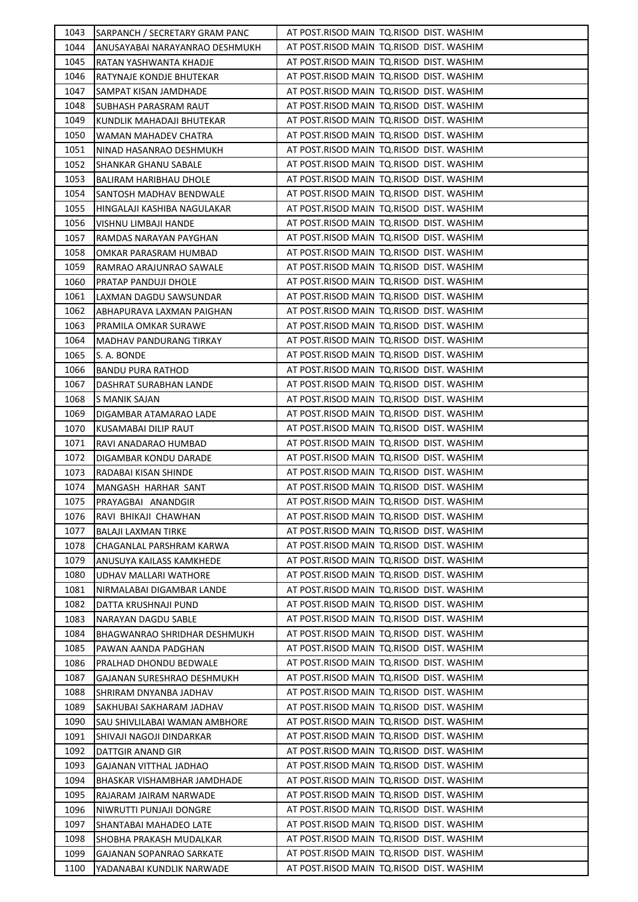| 1043         | SARPANCH / SECRETARY GRAM PANC                | AT POST.RISOD MAIN TO.RISOD DIST. WASHIM                                             |
|--------------|-----------------------------------------------|--------------------------------------------------------------------------------------|
| 1044         | ANUSAYABAI NARAYANRAO DESHMUKH                | AT POST.RISOD MAIN TQ.RISOD DIST. WASHIM                                             |
| 1045         | RATAN YASHWANTA KHADJE                        | AT POST.RISOD MAIN TQ.RISOD DIST. WASHIM                                             |
| 1046         | RATYNAJE KONDJE BHUTEKAR                      | AT POST.RISOD MAIN TQ.RISOD DIST. WASHIM                                             |
| 1047         | SAMPAT KISAN JAMDHADE                         | AT POST.RISOD MAIN TO.RISOD DIST. WASHIM                                             |
| 1048         | SUBHASH PARASRAM RAUT                         | AT POST.RISOD MAIN TO.RISOD DIST. WASHIM                                             |
| 1049         | KUNDLIK MAHADAJI BHUTEKAR                     | AT POST.RISOD MAIN TQ.RISOD DIST. WASHIM                                             |
| 1050         | WAMAN MAHADEV CHATRA                          | AT POST.RISOD MAIN TQ.RISOD DIST. WASHIM                                             |
| 1051         | NINAD HASANRAO DESHMUKH                       | AT POST.RISOD MAIN TO.RISOD DIST. WASHIM                                             |
| 1052         | SHANKAR GHANU SABALE                          | AT POST.RISOD MAIN TO.RISOD DIST. WASHIM                                             |
| 1053         | BALIRAM HARIBHAU DHOLE                        | AT POST.RISOD MAIN TO.RISOD DIST. WASHIM                                             |
| 1054         | SANTOSH MADHAV BENDWALE                       | AT POST.RISOD MAIN TQ.RISOD DIST. WASHIM                                             |
| 1055         | HINGALAJI KASHIBA NAGULAKAR                   | AT POST.RISOD MAIN TO.RISOD DIST. WASHIM                                             |
| 1056         | VISHNU LIMBAJI HANDE                          | AT POST.RISOD MAIN TQ.RISOD DIST. WASHIM                                             |
| 1057         | RAMDAS NARAYAN PAYGHAN                        | AT POST.RISOD MAIN  TQ.RISOD  DIST. WASHIM                                           |
| 1058         | OMKAR PARASRAM HUMBAD                         | AT POST.RISOD MAIN TO.RISOD DIST. WASHIM                                             |
| 1059         | RAMRAO ARAJUNRAO SAWALE                       | AT POST.RISOD MAIN TQ.RISOD DIST. WASHIM                                             |
| 1060         | PRATAP PANDUJI DHOLE                          | AT POST.RISOD MAIN TO.RISOD DIST. WASHIM                                             |
| 1061         | LAXMAN DAGDU SAWSUNDAR                        | AT POST.RISOD MAIN TO.RISOD DIST. WASHIM                                             |
| 1062         | ABHAPURAVA LAXMAN PAIGHAN                     | AT POST.RISOD MAIN TO.RISOD DIST. WASHIM                                             |
| 1063         | PRAMILA OMKAR SURAWE                          | AT POST.RISOD MAIN TQ.RISOD DIST. WASHIM                                             |
| 1064         | MADHAV PANDURANG TIRKAY                       | AT POST.RISOD MAIN TQ.RISOD DIST. WASHIM                                             |
| 1065         | S. A. BONDE                                   | AT POST.RISOD MAIN TO.RISOD DIST. WASHIM                                             |
| 1066         | BANDU PURA RATHOD                             | AT POST.RISOD MAIN TO.RISOD DIST. WASHIM                                             |
| 1067         | DASHRAT SURABHAN LANDE                        | AT POST.RISOD MAIN TQ.RISOD DIST. WASHIM                                             |
| 1068         | S MANIK SAJAN                                 | AT POST.RISOD MAIN TQ.RISOD DIST. WASHIM                                             |
| 1069         | DIGAMBAR ATAMARAO LADE                        | AT POST.RISOD MAIN TO.RISOD DIST. WASHIM                                             |
| 1070         | KUSAMABAI DILIP RAUT                          | AT POST.RISOD MAIN TQ.RISOD DIST. WASHIM                                             |
| 1071         | RAVI ANADARAO HUMBAD                          | AT POST.RISOD MAIN TQ.RISOD DIST. WASHIM                                             |
| 1072         | DIGAMBAR KONDU DARADE                         | AT POST.RISOD MAIN TQ.RISOD DIST. WASHIM                                             |
| 1073         | RADABAI KISAN SHINDE                          | AT POST.RISOD MAIN TO.RISOD DIST. WASHIM                                             |
| 1074         | MANGASH HARHAR SANT                           | AT POST.RISOD MAIN TO.RISOD DIST. WASHIM                                             |
| 1075         | PRAYAGBAI ANANDGIR                            | AT POST.RISOD MAIN TQ.RISOD DIST. WASHIM                                             |
| 1076         | RAVI BHIKAJI CHAWHAN                          | AT POST.RISOD MAIN TO.RISOD DIST. WASHIM                                             |
| 1077         | BALAJI LAXMAN TIRKE                           | AT POST.RISOD MAIN TO.RISOD DIST. WASHIM                                             |
| 1078         | CHAGANLAL PARSHRAM KARWA                      | AT POST.RISOD MAIN TQ.RISOD DIST. WASHIM                                             |
| 1079         | ANUSUYA KAILASS KAMKHEDE                      | AT POST.RISOD MAIN TO.RISOD DIST. WASHIM                                             |
| 1080         | UDHAV MALLARI WATHORE                         | AT POST.RISOD MAIN TO.RISOD DIST. WASHIM                                             |
| 1081         | NIRMALABAI DIGAMBAR LANDE                     | AT POST.RISOD MAIN TO.RISOD DIST. WASHIM<br>AT POST.RISOD MAIN TQ.RISOD DIST. WASHIM |
| 1082<br>1083 | DATTA KRUSHNAJI PUND<br>NARAYAN DAGDU SABLE   | AT POST.RISOD MAIN TQ.RISOD DIST. WASHIM                                             |
| 1084         |                                               | AT POST.RISOD MAIN TQ.RISOD DIST. WASHIM                                             |
| 1085         | BHAGWANRAO SHRIDHAR DESHMUKH                  | AT POST.RISOD MAIN TO.RISOD DIST. WASHIM                                             |
| 1086         | PAWAN AANDA PADGHAN<br>PRALHAD DHONDU BEDWALE | AT POST.RISOD MAIN TO.RISOD DIST. WASHIM                                             |
| 1087         | GAJANAN SURESHRAO DESHMUKH                    | AT POST.RISOD MAIN TO.RISOD DIST. WASHIM                                             |
| 1088         | SHRIRAM DNYANBA JADHAV                        | AT POST.RISOD MAIN TQ.RISOD DIST. WASHIM                                             |
| 1089         | SAKHUBAI SAKHARAM JADHAV                      | AT POST.RISOD MAIN  TQ.RISOD  DIST. WASHIM                                           |
| 1090         | SAU SHIVLILABAI WAMAN AMBHORE                 | AT POST.RISOD MAIN TQ.RISOD DIST. WASHIM                                             |
| 1091         | SHIVAJI NAGOJI DINDARKAR                      | AT POST.RISOD MAIN TO.RISOD DIST. WASHIM                                             |
| 1092         | DATTGIR ANAND GIR                             | AT POST.RISOD MAIN TO.RISOD DIST. WASHIM                                             |
| 1093         | GAJANAN VITTHAL JADHAO                        | AT POST.RISOD MAIN TO.RISOD DIST. WASHIM                                             |
| 1094         | BHASKAR VISHAMBHAR JAMDHADE                   | AT POST.RISOD MAIN TO.RISOD DIST. WASHIM                                             |
| 1095         | RAJARAM JAIRAM NARWADE                        | AT POST.RISOD MAIN TQ.RISOD DIST. WASHIM                                             |
| 1096         | NIWRUTTI PUNJAJI DONGRE                       | AT POST.RISOD MAIN TQ.RISOD DIST. WASHIM                                             |
| 1097         | SHANTABAI MAHADEO LATE                        | AT POST.RISOD MAIN TO.RISOD DIST. WASHIM                                             |
| 1098         | SHOBHA PRAKASH MUDALKAR                       | AT POST.RISOD MAIN TO.RISOD DIST. WASHIM                                             |
| 1099         | GAJANAN SOPANRAO SARKATE                      | AT POST.RISOD MAIN TQ.RISOD DIST. WASHIM                                             |
| 1100         | YADANABAI KUNDLIK NARWADE                     | AT POST.RISOD MAIN TQ.RISOD DIST. WASHIM                                             |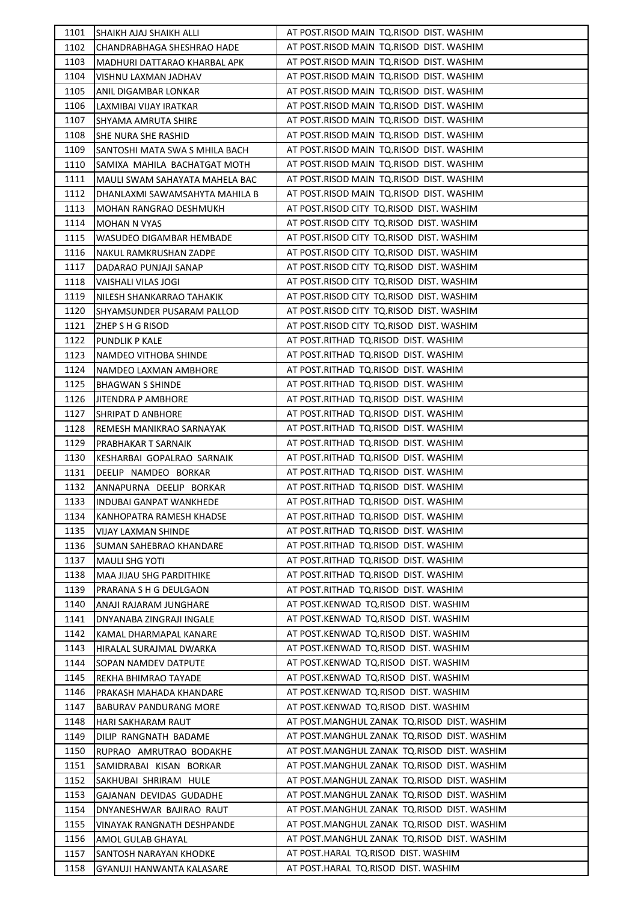| 1101         | SHAIKH AJAJ SHAIKH ALLI                            | AT POST.RISOD MAIN TQ.RISOD DIST. WASHIM                                     |
|--------------|----------------------------------------------------|------------------------------------------------------------------------------|
| 1102         | CHANDRABHAGA SHESHRAO HADE                         | AT POST.RISOD MAIN TQ.RISOD DIST. WASHIM                                     |
| 1103         | MADHURI DATTARAO KHARBAL APK                       | AT POST.RISOD MAIN TO.RISOD DIST. WASHIM                                     |
| 1104         | VISHNU LAXMAN JADHAV                               | AT POST.RISOD MAIN TQ.RISOD DIST. WASHIM                                     |
| 1105         | ANIL DIGAMBAR LONKAR                               | AT POST.RISOD MAIN TO.RISOD DIST. WASHIM                                     |
| 1106         | LAXMIBAI VIJAY IRATKAR                             | AT POST.RISOD MAIN TO.RISOD DIST. WASHIM                                     |
| 1107         | SHYAMA AMRUTA SHIRE                                | AT POST.RISOD MAIN TQ.RISOD DIST. WASHIM                                     |
| 1108         | SHE NURA SHE RASHID                                | AT POST.RISOD MAIN TO.RISOD DIST. WASHIM                                     |
| 1109         | SANTOSHI MATA SWA S MHILA BACH                     | AT POST.RISOD MAIN TO.RISOD DIST. WASHIM                                     |
| 1110         | SAMIXA MAHILA BACHATGAT MOTH                       | AT POST.RISOD MAIN TO.RISOD DIST. WASHIM                                     |
| 1111         | MAULI SWAM SAHAYATA MAHELA BAC                     | AT POST.RISOD MAIN TQ.RISOD DIST. WASHIM                                     |
| 1112         | DHANLAXMI SAWAMSAHYTA MAHILA B                     | AT POST.RISOD MAIN TQ.RISOD DIST. WASHIM                                     |
| 1113         | MOHAN RANGRAO DESHMUKH                             | AT POST.RISOD CITY TQ.RISOD DIST. WASHIM                                     |
| 1114         | <b>MOHAN N VYAS</b>                                | AT POST.RISOD CITY TQ.RISOD DIST. WASHIM                                     |
| 1115         | WASUDEO DIGAMBAR HEMBADE                           | AT POST.RISOD CITY TQ.RISOD DIST. WASHIM                                     |
| 1116         | NAKUL RAMKRUSHAN ZADPE                             | AT POST.RISOD CITY TQ.RISOD DIST. WASHIM                                     |
| 1117         | DADARAO PUNJAJI SANAP                              | AT POST.RISOD CITY TQ.RISOD DIST. WASHIM                                     |
| 1118         | VAISHALI VILAS JOGI                                | AT POST.RISOD CITY TQ.RISOD DIST. WASHIM                                     |
| 1119         | NILESH SHANKARRAO TAHAKIK                          | AT POST.RISOD CITY TQ.RISOD DIST. WASHIM                                     |
| 1120         | SHYAMSUNDER PUSARAM PALLOD                         | AT POST.RISOD CITY TQ.RISOD DIST. WASHIM                                     |
| 1121         | ZHEP S H G RISOD                                   | AT POST.RISOD CITY TQ.RISOD DIST. WASHIM                                     |
| 1122         | PUNDLIK P KALE                                     | AT POST.RITHAD TQ.RISOD DIST. WASHIM                                         |
| 1123         | NAMDEO VITHOBA SHINDE                              | AT POST.RITHAD TQ.RISOD DIST. WASHIM                                         |
| 1124         | NAMDEO LAXMAN AMBHORE                              | AT POST.RITHAD TQ.RISOD DIST. WASHIM                                         |
| 1125         | <b>BHAGWAN S SHINDE</b>                            | AT POST.RITHAD TQ.RISOD DIST. WASHIM                                         |
| 1126         | JITENDRA P AMBHORE                                 | AT POST.RITHAD TQ.RISOD DIST. WASHIM                                         |
| 1127         | <b>SHRIPAT D ANBHORE</b>                           | AT POST.RITHAD TQ.RISOD DIST. WASHIM                                         |
| 1128         | REMESH MANIKRAO SARNAYAK                           | AT POST.RITHAD TQ.RISOD DIST. WASHIM                                         |
| 1129         | PRABHAKAR T SARNAIK                                | AT POST.RITHAD TQ.RISOD DIST. WASHIM                                         |
| 1130         | KESHARBAI GOPALRAO SARNAIK                         | AT POST.RITHAD TQ.RISOD DIST. WASHIM                                         |
| 1131         | DEELIP NAMDEO BORKAR                               | AT POST.RITHAD TQ.RISOD DIST. WASHIM                                         |
| 1132         | ANNAPURNA DEELIP BORKAR                            | AT POST.RITHAD TQ.RISOD DIST. WASHIM                                         |
| 1133         | <b>INDUBAI GANPAT WANKHEDE</b>                     | AT POST.RITHAD TQ.RISOD DIST. WASHIM                                         |
| 1134         | KANHOPATRA RAMESH KHADSE                           | AT POST.RITHAD TQ.RISOD DIST. WASHIM                                         |
| 1135         | VIJAY LAXMAN SHINDE                                | AT POST.RITHAD TQ.RISOD DIST. WASHIM                                         |
| 1136         | SUMAN SAHEBRAO KHANDARE                            | AT POST.RITHAD TQ.RISOD DIST. WASHIM<br>AT POST.RITHAD TQ.RISOD DIST. WASHIM |
| 1137         | <b>MAULI SHG YOTI</b>                              | AT POST.RITHAD TQ.RISOD DIST. WASHIM                                         |
| 1138<br>1139 | MAA JIJAU SHG PARDITHIKE                           | AT POST.RITHAD TQ.RISOD DIST. WASHIM                                         |
|              | PRARANA S H G DEULGAON                             | AT POST.KENWAD TQ.RISOD DIST. WASHIM                                         |
| 1140<br>1141 | ANAJI RAJARAM JUNGHARE<br>DNYANABA ZINGRAJI INGALE | AT POST.KENWAD TQ.RISOD DIST. WASHIM                                         |
| 1142         |                                                    | AT POST.KENWAD TQ.RISOD DIST. WASHIM                                         |
| 1143         | KAMAL DHARMAPAL KANARE<br>HIRALAL SURAJMAL DWARKA  | AT POST.KENWAD TQ.RISOD DIST. WASHIM                                         |
| 1144         | SOPAN NAMDEV DATPUTE                               | AT POST.KENWAD TQ.RISOD DIST. WASHIM                                         |
| 1145         | REKHA BHIMRAO TAYADE                               | AT POST.KENWAD TQ.RISOD DIST. WASHIM                                         |
| 1146         | PRAKASH MAHADA KHANDARE                            | AT POST.KENWAD TQ.RISOD DIST. WASHIM                                         |
| 1147         | BABURAV PANDURANG MORE                             | AT POST.KENWAD TQ.RISOD DIST. WASHIM                                         |
| 1148         | HARI SAKHARAM RAUT                                 | AT POST.MANGHUL ZANAK TQ.RISOD DIST. WASHIM                                  |
| 1149         | DILIP RANGNATH BADAME                              | AT POST.MANGHUL ZANAK TQ.RISOD DIST. WASHIM                                  |
| 1150         | RUPRAO AMRUTRAO BODAKHE                            | AT POST.MANGHUL ZANAK TQ.RISOD DIST. WASHIM                                  |
| 1151         | SAMIDRABAI KISAN BORKAR                            | AT POST.MANGHUL ZANAK TQ.RISOD DIST. WASHIM                                  |
| 1152         | SAKHUBAI SHRIRAM HULE                              | AT POST.MANGHUL ZANAK TQ.RISOD DIST. WASHIM                                  |
| 1153         | GAJANAN DEVIDAS GUDADHE                            | AT POST.MANGHUL ZANAK TQ.RISOD DIST. WASHIM                                  |
| 1154         | DNYANESHWAR BAJIRAO RAUT                           | AT POST.MANGHUL ZANAK TQ.RISOD DIST. WASHIM                                  |
| 1155         | VINAYAK RANGNATH DESHPANDE                         | AT POST.MANGHUL ZANAK TQ.RISOD DIST. WASHIM                                  |
| 1156         | AMOL GULAB GHAYAL                                  | AT POST.MANGHUL ZANAK TQ.RISOD DIST. WASHIM                                  |
| 1157         | SANTOSH NARAYAN KHODKE                             | AT POST.HARAL TQ.RISOD DIST. WASHIM                                          |
| 1158         | GYANUJI HANWANTA KALASARE                          | AT POST.HARAL TQ.RISOD DIST. WASHIM                                          |